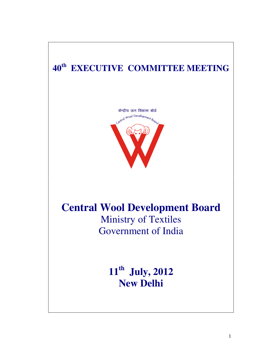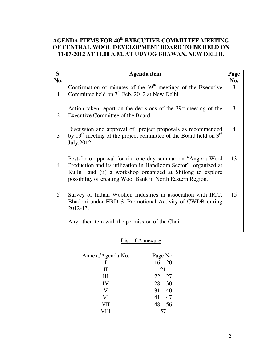## **AGENDA ITEMS FOR 40th EXECUTIVE COMMITTEE MEETING OF CENTRAL WOOL DEVELOPMENT BOARD TO BE HELD ON 11-07-2012 AT 11.00 A.M. AT UDYOG BHAWAN, NEW DELHI.**

| S.             | Agenda item                                                                                                                                                                                                                                               | Page |
|----------------|-----------------------------------------------------------------------------------------------------------------------------------------------------------------------------------------------------------------------------------------------------------|------|
| No.            |                                                                                                                                                                                                                                                           | No.  |
| $\mathbf{1}$   | Confirmation of minutes of the $39th$ meetings of the Executive<br>Committee held on 7 <sup>th</sup> Feb., 2012 at New Delhi.                                                                                                                             | 3    |
| 2              | Action taken report on the decisions of the $39th$ meeting of the<br>Executive Committee of the Board.                                                                                                                                                    | 3    |
| 3              | Discussion and approval of project proposals as recommended<br>by $19th$ meeting of the project committee of the Board held on $3rd$<br>July, 2012.                                                                                                       | 4    |
| $\overline{4}$ | Post-facto approval for (i) one day seminar on "Angora Wool<br>Production and its utilization in Handloom Sector" organized at<br>Kullu and (ii) a workshop organized at Shilong to explore<br>possibility of creating Wool Bank in North Eastern Region. | 13   |
| 5              | Survey of Indian Woollen Industries in association with IICT,<br>Bhadohi under HRD & Promotional Activity of CWDB during<br>2012-13.                                                                                                                      | 15   |
|                | Any other item with the permission of the Chair.                                                                                                                                                                                                          |      |

## List of Annexure

| Annex./Agenda No. | Page No.  |
|-------------------|-----------|
|                   | $16 - 20$ |
| Н                 | 21        |
| HИ                | $22 - 27$ |
| IV                | $28 - 30$ |
|                   | $31 - 40$ |
| VI                | $41 - 47$ |
| VH                | $48 - 56$ |
|                   |           |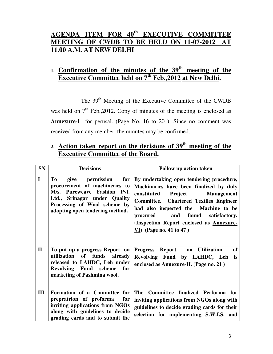# **AGENDA ITEM FOR 40th EXECUTIVE COMMITTEE MEETING OF CWDB TO BE HELD ON 11-07-2012 AT 11.00 A.M. AT NEW DELHI**

# **1. Confirmation of the minutes of the 39th meeting of the Executive Committee held on 7th Feb.,2012 at New Delhi.**

The 39<sup>th</sup> Meeting of the Executive Committee of the CWDB was held on  $7<sup>th</sup>$  Feb., 2012. Copy of minutes of the meeting is enclosed as **Annexure-I** for perusal. (Page No. 16 to 20 ). Since no comment was received from any member, the minutes may be confirmed.

# **2. Action taken report on the decisions of 39th meeting of the Executive Committee of the Board.**

| <b>SN</b>    | <b>Decisions</b>                                                                                                                                                                                      | Follow up action taken                                                                                                                                                                                                                                                                                                                                   |
|--------------|-------------------------------------------------------------------------------------------------------------------------------------------------------------------------------------------------------|----------------------------------------------------------------------------------------------------------------------------------------------------------------------------------------------------------------------------------------------------------------------------------------------------------------------------------------------------------|
| $\mathbf I$  | permission<br>for<br>To<br>give<br>procurement of machineries to<br>M/s. Pureweave Fashion Pvt.<br>Srinagar under Quality<br>Ltd.,<br>Processing of Wool scheme by<br>adopting open tendering method. | By undertaking open tendering procedure,<br>Machinaries have been finalized by duly<br>constituted<br><b>Project</b> Management<br><b>Committee.</b> Chartered Textiles Engineer<br>had also inspected the Machine to be<br>and found<br>procured<br>satisfactory.<br>(Inspection Report enclosed as Annexure-<br>$\underline{VI}$ ) (Page no. 41 to 47) |
| $\mathbf{I}$ | To put up a progress Report on<br>utilization<br>of funds already<br>released to LAHDC, Leh under<br>Revolving Fund scheme for<br>marketing of Pashmina wool.                                         | of<br>Progress Report on Utilization<br>Revolving Fund by LAHDC, Leh<br>is<br>enclosed as <b>Annexure-II</b> . (Page no. 21)                                                                                                                                                                                                                             |
| Ш            | Formation of a Committee for<br>prepratrion of proforma<br>for<br>inviting applications from NGOs<br>along with guidelines to decide<br>grading cards and to submit the                               | The Committee finalized Performa for<br>inviting applications from NGOs along with<br>guidelines to decide grading cards for their<br>selection for implementing S.W.I.S. and                                                                                                                                                                            |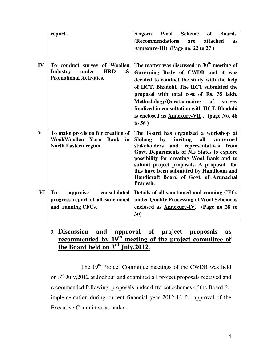|              | report.                                                                                                       | <b>Wool Scheme</b><br>of<br>Board.<br>Angora<br>(Recommendations<br>attached<br>are<br><b>as</b><br>$Annexure-III$ (Page no. 22 to 27)                                                                                                                                                                                                                                                          |
|--------------|---------------------------------------------------------------------------------------------------------------|-------------------------------------------------------------------------------------------------------------------------------------------------------------------------------------------------------------------------------------------------------------------------------------------------------------------------------------------------------------------------------------------------|
| IV           | To conduct survey of Woollen<br><b>Industry</b><br>under<br><b>HRD</b><br>&<br><b>Promotional Activities.</b> | The matter was discussed in $30th$ meeting of<br>Governing Body of CWDB and it was<br>decided to conduct the study with the help<br>of IICT, Bhadohi. The IICT submitted the<br>proposal with total cost of Rs. 35 lakh.<br><b>Methodology/Questionnaires</b><br>of<br>survey<br>finalized in consultation with IICT, Bhadohi<br>is enclosed as <b>Annexure-VII</b> . (page No. 48)<br>to $56)$ |
| $\mathbf{V}$ | To make provision for creation of<br>Wool/Woollen Yarn<br><b>Bank</b><br>in<br>North Eastern region.          | The Board has organized a workshop at<br>inviting<br><b>Shilong</b><br>by<br>all<br>concerned<br>and representatives<br>stakeholders<br>from<br>Govt. Departments of NE States to explore<br>possibility for creating Wool Bank and to<br>submit project proposals. A proposal for<br>this have been submitted by Handloom and<br>Handicraft Board of Govt. of Arunachal<br>Pradesh.            |
| VI           | T <sub>0</sub><br>appraise<br>consolidated<br>progress report of all sanctioned<br>and running CFCs.          | Details of all sanctioned and running CFCs<br>under Quality Processing of Wool Scheme is<br>enclosed as <b>Annexure-IV</b> . (Page no 28 to<br>30)                                                                                                                                                                                                                                              |

## **3. Discussion and approval of project proposals as recommended by 19th meeting of the project committee of the Board held on 3rd July,2012.**

The 19<sup>th</sup> Project Committee meetings of the CWDB was held on 3<sup>rd</sup> July,2012 at Jodhpur and examined all project proposals received and recommended following proposals under different schemes of the Board for implementation during current financial year 2012-13 for approval of the Executive Committee, as under :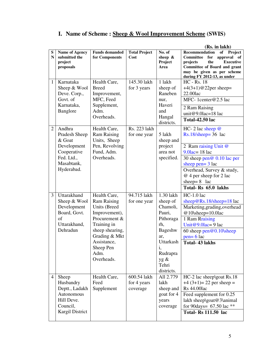# **I. Name of Scheme : Sheep & Wool Improvement Scheme (SWIS)**

|                                |                                                                                                 |                                                                                                                                                                                                 |                                            |                                                                                                                                                 | (Rs. in lakh)                                                                                                                                                                                                          |
|--------------------------------|-------------------------------------------------------------------------------------------------|-------------------------------------------------------------------------------------------------------------------------------------------------------------------------------------------------|--------------------------------------------|-------------------------------------------------------------------------------------------------------------------------------------------------|------------------------------------------------------------------------------------------------------------------------------------------------------------------------------------------------------------------------|
| S<br>$\mathbf N$               | <b>Name of Agency</b><br>submitted the<br>project<br>proposals                                  | <b>Funds demanded</b><br>for Components                                                                                                                                                         | <b>Total Project</b><br>Cost               | No. of<br>sheep $\&$<br>Project<br>Area                                                                                                         | Recommendation<br>of Project<br>Committee for<br>approval of<br>projects<br><b>Executive</b><br>the<br>Committee of Board and grant<br>may be given as per scheme<br>during FY 2012-13, as under                       |
| $\mathbf{1}$<br>$\overline{2}$ | Karnataka<br>Sheep & Wool<br>Deve. Corp.,<br>Govt. of<br>Karnataka,<br>Banglore<br>Andhra       | Health Care,<br><b>Breed</b><br>Improvement,<br>MFC, Feed<br>Supplement,<br>Adm.<br>Overheads.<br>Health Care,                                                                                  | 145.30 lakh<br>for 3 years<br>Rs. 223 lakh | 1 lakh<br>sheep of<br>Raneben<br>nur,<br>Haveri<br>and<br>Hangal<br>districts.                                                                  | <b>HC</b> - Rs. 18<br>$+4(3+1)@22per$ sheep=<br>22.00lac<br>MFC-1center@2.5 lac<br>2 Ram Raising<br>unit@9.0lac=18 lac<br><b>Total-42.50 lac</b><br>HC- 2 lac sheep $@$                                                |
|                                | Pradesh Sheep<br>& Goat<br>Development<br>Cooperative<br>Fed. Ltd.,<br>Masabtank,<br>Hyderabad. | <b>Ram Raising</b><br>Units, Sheep<br>Pen, Revolving<br>Fund, Adm.<br>Overheads.                                                                                                                | for one year                               | 5 lakh<br>sheep and<br>project<br>area not<br>specified.                                                                                        | $Rs.18/sheep=36$ lac<br>2 Ram raising Unit @<br>$9.0$ lac= 18 lac<br>30 sheep pen@ 0.10 lac per<br>sheep pen= $3$ lac<br>Overhead, Survey & study,<br>@ 4 per sheep for 2 lac<br>sheep= $8$ lac<br>Total-Rs 65.0 lakhs |
| $\mathfrak{Z}$                 | Uttarakhand<br>Sheep & Wool<br>Development<br>Board, Govt.<br>of<br>Uttarakhand,<br>Dehradun    | Health Care,<br><b>Ram Raising</b><br>Units (Breed<br>Improvement),<br>Procurement &<br>Training in<br>sheep shearing,<br>Grading & Mkt<br><b>Assistance</b><br>Sheep Pen<br>Adm.<br>Overheads. | 94.715 lakh<br>for one year                | 1.30 lakh<br>sheep of<br>Chamoli,<br>Pauri,<br>Pithoraga<br>rh,<br>Bageshw<br>ar,<br>Uttarkash<br>i,<br>Rudrapra<br>yg &<br>Tehri<br>districts. | $HC-1.0$ lac<br>sheep@Rs.18/sheep=18 lac<br>Marketing, grading, overhead<br>@10\sheep=10.0lac<br>1 Ram Rraising<br>Unit@9.0lac=9 lac<br>60 sheep $pen@0.10$ sheep<br>$pen = 6$ lac<br><b>Total-43 lakhs</b>            |
| $\overline{4}$                 | Sheep<br>Husbandry<br>Deptt., Ladakh<br>Autonomous<br>Hill Deve.<br>Council,<br>Kargil District | Health Care,<br>Feed<br>Supplement                                                                                                                                                              | 600.54 lakh<br>for 4 years<br>coverage     | All 2.779<br>lakh<br>sheep and<br>goat for 4<br>years<br>coverage                                                                               | HC-2 lac sheep\goat Rs.18<br>$+4(3+1)=22$ per sheep =<br><b>Rs</b> 44.00lac<br>Feed supplement for 0.25<br>lakh sheep\goat@3\animal<br>for 90days= $67.50$ lac **<br><b>Total-Rs 111.50 lac</b>                        |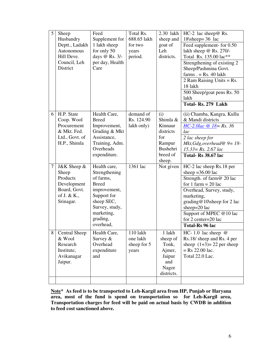| 5            | Sheep<br>Husbandry                                                                | Feed<br>Supplement for                                        | Total Rs.<br>688.65 lakh                     | 2.30 lakh<br>sheep and                                                        | $HC-2$ lac sheep $@$ Rs.<br>18\sheep= $36$ lac                                                                                                                                                                |
|--------------|-----------------------------------------------------------------------------------|---------------------------------------------------------------|----------------------------------------------|-------------------------------------------------------------------------------|---------------------------------------------------------------------------------------------------------------------------------------------------------------------------------------------------------------|
|              | Deptt., Ladakh<br>Autonomous<br>Hill Deve.                                        | 1 lakh sheep<br>for only 50<br>days @ Rs. 3/-                 | for two<br>years<br>period.                  | goat of<br>Leh<br>districts.                                                  | Feed supplement- for 0.50<br>lakh sheep @ Rs. 270/-                                                                                                                                                           |
|              | Council, Leh<br>District                                                          | per day, Health<br>Care                                       |                                              |                                                                               | Total Rs. 135.00 lac**<br>Strengthening of existing 2<br>Sheep/Pashmina Govt.<br>$farms. = Rs. 40 lakh$<br>2 Ram Raising Units = $Rs.$<br>18 lakh<br>500 Sheep/goat pens Rs. 50<br>lakh<br>Total-Rs. 279 Lakh |
| <sup>6</sup> | H.P. State<br>Coop. Wool<br>Procurement<br>& Mkt. Fed.                            | Health Care,<br><b>Breed</b><br>Improvement,<br>Grading & Mkt | demand of<br>Rs. 124.90<br>lakh only)        | (i)<br>Shimla &<br>Kinnaur<br>districts                                       | (ii) Chamba, Kangra, Kullu<br>& Mandi districts<br>$HC-2.0lac \ @ \ 18 = Rs.36$<br>lac                                                                                                                        |
|              | Ltd., Govt. of<br>H.P., Shimla                                                    | Assistance,<br>Training, Adm.<br>Overheads<br>expenditure.    |                                              | for<br>Rampur<br>Bushehri<br>breed of                                         | 2 lac sheep for<br>Mkt, Gdg, overhead $\Phi = 18$ -<br>$15.33 = Rs. 2.67$ lac<br>Total-Rs 38.67 lac                                                                                                           |
| 7            | J&K Sheep &<br>Sheep<br>Products<br>Development                                   | Health care,<br>Strengthening<br>of farms.<br><b>Breed</b>    | 1361 lac                                     | sheep.<br>Not given                                                           | HC-2 lac sheep Rs.18 per<br>sheep = $36.00$ lac<br>Strength. of farm@ 20 lac<br>for 1 farm $= 20$ lac                                                                                                         |
|              | Board, Govt.<br>of J. & K.,<br>Srinagar.                                          | improvement,<br>Support for<br>sheep SEC,<br>Survey, study,   |                                              |                                                                               | Overhead, Survey, study,<br>marketing,<br>grading@10\sheep for 2 lac<br>sheep=20 lac                                                                                                                          |
|              |                                                                                   | marketing,<br>grading,<br>overhead,                           |                                              |                                                                               | Support of MPEC @10 lac<br>for 2 center=20 lac<br>Total-Rs 96 lac                                                                                                                                             |
| 8            | <b>Central Sheep</b><br>& Wool<br>Research<br>Institute,<br>Avikanagar<br>Jaipur. | Health Care,<br>Survey $&$<br>Overhead<br>expenditure<br>and  | 110 lakh<br>one lakh<br>sheep for 5<br>years | 1 lakh<br>sheep of<br>Tonk,<br>Ajmer,<br>Jaipur<br>and<br>Nagor<br>districts. | HC-1.0 lac sheep $@$<br>Rs.18/ sheep and Rs. 4 per<br>sheep $(1+3)=22$ per sheep<br>$=$ Rs 22.00 lac.<br>Total 22.0 Lac.                                                                                      |
|              |                                                                                   |                                                               |                                              |                                                                               |                                                                                                                                                                                                               |

**Note\* As feed is to be transported to Leh-Kargil area from HP, Punjab or Haryana area, most of the fund is spend on transportation so for Leh-Kargil area, Transportation charges for feed will be paid on actual basis by CWDB in addition to feed cost sanctioned above.**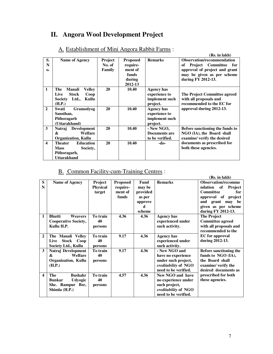# **II. Angora Wool Development Project**

|                |                                    |         |                 |                 | (Rs. in lakh)                         |
|----------------|------------------------------------|---------|-----------------|-----------------|---------------------------------------|
| S.             | Name of Agency                     | Project | <b>Proposed</b> | <b>Remarks</b>  | <b>Observation/recommendation</b>     |
| N              |                                    | No. of  | require-        |                 | <b>Project</b> Committee<br>for<br>оf |
| $\mathbf{0}$   |                                    | Family  | ment of         |                 | approval of project and grant         |
|                |                                    |         | funds           |                 | may be given as per scheme            |
|                |                                    |         | during          |                 | during FY 2012-13.                    |
|                |                                    |         | 2012-13         |                 |                                       |
| $\mathbf{1}$   | The<br><b>Manali</b><br>Vellev     | 20      | 10.40           | Agency has      |                                       |
|                | Live<br><b>Stock</b><br>Coop       |         |                 | experience to   | The Project Committee agreed          |
|                | Ltd.,<br>Kullu<br>Society          |         |                 | implement such  | with all proposals and                |
|                | (H.P.)                             |         |                 | project.        | recommended to the EC for             |
| $\overline{2}$ | Swati<br>Gramodyog                 | 20      | 10.40           | Agency has      | approval during 2012-13.              |
|                | Sansthan,                          |         |                 | experience to   |                                       |
|                | Pithoragarh                        |         |                 | implement such  |                                       |
|                | (Uttarakhand)                      |         |                 | project.        |                                       |
| 3              | <b>Development</b><br>Natraj       | 20      | 10.40           | $-$ New NGO,    | Before sanctioning the funds to       |
|                | <b>Welfare</b><br>&                |         |                 | Documents are   | NGO (IA), the Board shall             |
|                | <b>Organization, Kullu</b>         |         |                 | to be verified. | examine/verify the desired            |
| 4              | <b>Education</b><br><b>Theater</b> | 20      | 10.40           | -do-            | documents as prescribed for           |
|                | <b>Mass</b><br>Society,            |         |                 |                 | both these agencies.                  |
|                | Pithoragarh,                       |         |                 |                 |                                       |
|                | <b>Uttarakhand</b>                 |         |                 |                 |                                       |

#### A. Establishment of Mini Angora Rabbit Farms :

# B. Common Facility-cum-Training Centres :

|                         |                                      |                 |                 |          |                                             | (Rs. in lakh)                         |
|-------------------------|--------------------------------------|-----------------|-----------------|----------|---------------------------------------------|---------------------------------------|
| S                       | <b>Name of Agency</b>                | Project         | <b>Proposed</b> | Fund     | <b>Remarks</b>                              | <b>Observation/recomme</b>            |
| N                       |                                      | <b>Physical</b> | require-        | may be   |                                             | ndation<br>of<br>Project              |
|                         |                                      | target          | ment of         | provided |                                             | Committee<br>for                      |
|                         |                                      |                 | funds           | as per   |                                             | approval of<br>project                |
|                         |                                      |                 |                 | approve  |                                             | and grant may be                      |
|                         |                                      |                 |                 | d        |                                             | given as per scheme                   |
|                         |                                      |                 |                 | scheme   |                                             | during FY 2012-13.                    |
| 1                       | <b>Bhutti</b><br>Weavers             | To train        | 4.36            | 4.36     | <b>Agency has</b>                           | <b>The Project</b>                    |
|                         | <b>Cooperative Society,</b>          | 40              |                 |          | experienced under                           | <b>Committee agreed</b>               |
|                         | Kullu H.P.                           | persons         |                 |          | such activity.                              | with all proposals and                |
|                         |                                      |                 |                 |          |                                             | recommended to the                    |
| $\mathbf{2}$            | The Manali Velley                    | To train        | 9.17            | 4.36     | <b>Agency has</b>                           | <b>EC</b> for approval                |
|                         | <b>Stock</b><br>Coop<br>Live         | 40              |                 |          | experienced under                           | during 2012-13.                       |
|                         | Society Ltd., Kullu                  | persons         |                 |          | such activity.                              |                                       |
| 3                       | Natraj Development<br>Welfare        | To train        | 9.17            | 4.36     | - New NGO and                               | Before sanctioning the                |
|                         | &                                    | 40              |                 |          | have no experience                          | funds to NGO (IA),<br>the Board shall |
|                         | <b>Organization, Kullu</b><br>(H.P.) | persons         |                 |          | under such project,<br>creditability of NGO | examine/verify the                    |
|                         |                                      |                 |                 |          | need to be verified.                        | desired documents as                  |
| $\overline{\mathbf{4}}$ | The<br><b>Bushahr</b>                | To train        | 4.57            | 4.36     | New NGO and have                            | prescribed for both                   |
|                         | <b>Bunkar</b><br><b>Udyogic</b>      | 40              |                 |          | no experience under                         | these agencies.                       |
|                         | She. Rampur Bsr,                     | persons         |                 |          | such project,                               |                                       |
|                         | Shimla (H.P.)                        |                 |                 |          | creditability of NGO                        |                                       |
|                         |                                      |                 |                 |          | need to be verified.                        |                                       |
|                         |                                      |                 |                 |          |                                             |                                       |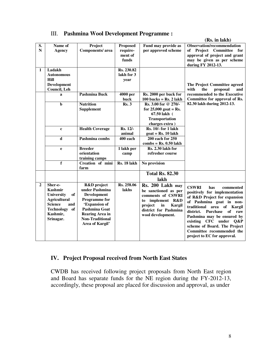|  |  |  |  | III. Pashmina Wool Development Programme: |
|--|--|--|--|-------------------------------------------|
|--|--|--|--|-------------------------------------------|

|              |                                       |                                       |                       |                                                                | (Rs. in lakh)                             |
|--------------|---------------------------------------|---------------------------------------|-----------------------|----------------------------------------------------------------|-------------------------------------------|
| S.           | Name of                               | Project                               | <b>Proposed</b>       | Fund may provide as                                            | <b>Observation/recommendation</b>         |
| N            | <b>Agency</b>                         | Components/area                       | require-              | per approved scheme                                            | of Project Committee for                  |
|              |                                       |                                       | ment of               |                                                                | approval of project and grant             |
|              |                                       |                                       | funds                 |                                                                | may be given as per scheme                |
|              |                                       |                                       |                       |                                                                | during FY 2012-13.                        |
| $\mathbf{1}$ | Ladakh                                |                                       | Rs. 230.82            |                                                                |                                           |
|              | <b>Autonomous</b>                     |                                       | lakh for 3            |                                                                |                                           |
|              | Hill                                  |                                       | year                  |                                                                |                                           |
|              | Development                           |                                       |                       |                                                                | The Project Committee agreed              |
|              | Council, Leh                          |                                       |                       |                                                                | with<br>proposal<br>the<br>and            |
|              | a                                     | <b>Pashmina Buck</b>                  | 4000 per              | Rs. 2000 per buck for                                          | recommended to the Executive              |
|              |                                       |                                       | buck                  | $100$ bucks = Rs. 2 lakh                                       | Committee for approval of Rs.             |
|              | $\mathbf b$                           | <b>Nutrition</b>                      | Rs.3                  | Rs. 3.00 for @ 270/-                                           | 82.30 lakh during 2012-13.                |
|              |                                       | Supplement                            |                       | for $25,000$ goat = Rs.                                        |                                           |
|              |                                       |                                       |                       | 67.50 lakh (                                                   |                                           |
|              |                                       |                                       |                       | Transportation                                                 |                                           |
|              |                                       |                                       | Rs. 12/-              | charges extra)<br>Rs. 10/- for 1 lakh                          |                                           |
|              | $\mathbf{c}$                          | <b>Health Coverage</b>                | animal                |                                                                |                                           |
|              | $\mathbf d$                           | Pashmina combs                        | $\overline{400}$ each | $\text{goat} = \text{Rs.} 10 \text{ lakh}$<br>200 each for 250 |                                           |
|              |                                       |                                       |                       | $combs = Rs. 0.50$ lakh                                        |                                           |
|              | e                                     | <b>Breeder</b>                        | 1 lakh per            | Rs. 2.30 lakh for                                              |                                           |
|              |                                       | orientation                           | camp                  | refresher course                                               |                                           |
|              |                                       | training camps                        |                       |                                                                |                                           |
|              | f                                     | Creation of mini                      | Rs. 18 lakh           | No provision                                                   |                                           |
|              |                                       | farm                                  |                       |                                                                |                                           |
|              |                                       |                                       |                       | <b>Total Rs. 82.30</b>                                         |                                           |
|              |                                       |                                       |                       | lakh                                                           |                                           |
|              |                                       |                                       |                       |                                                                |                                           |
| $\mathbf{2}$ | Sher-e-<br>Kashmir                    | R&D project<br>under Pashmina         | Rs. 258.06<br>lakhs   | Rs. 200 Lakh may                                               | <b>CSWRI</b><br>has<br>commented          |
|              |                                       |                                       |                       | be sanctioned as per                                           | positively for implementation             |
|              | <b>of</b><br><b>University</b>        | Development<br><b>Programme</b> for   |                       | comments of CSWRI                                              | of R&D Project for expansion              |
|              | <b>Agricultural</b><br><b>Science</b> |                                       |                       | to<br>implement R&D                                            | of Pashmina goat in non-                  |
|              | and<br><b>Technology</b><br>of        | 'Expansion of<br><b>Pashmina Goat</b> |                       | project<br>in<br>Kargil                                        | traditional area of Kargil                |
|              | Kashmir,                              | <b>Rearing Area in</b>                |                       | district for Pashmina                                          | <b>Purchase</b><br>of<br>district.<br>raw |
|              | Srinagar.                             | <b>Non-Traditional</b>                |                       | wool development.                                              | Pashmina may be ensured by                |
|              |                                       | Area of Kargil'                       |                       |                                                                | existing CFC under<br>$Q\&P$              |
|              |                                       |                                       |                       |                                                                | scheme of Board. The Project              |
|              |                                       |                                       |                       |                                                                | Committee recommended the                 |
|              |                                       |                                       |                       |                                                                | project to EC for approval.               |
|              |                                       |                                       |                       |                                                                |                                           |

#### **IV. Project Proposal received from North East States**

CWDB has received following project proposals from North East region and Board has separate funds for the NE region during the FY-2012-13, accordingly, these proposal are placed for discussion and approval, as under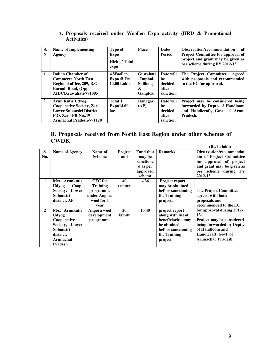| S.<br>N | Name of Implementing<br>Agency                                                                                                                           | Type of<br><b>Expo</b><br>Hiring/Total<br>expo | <b>Place</b>                                             | Date/<br><b>Period</b>                           | Observation/recommendation<br>of<br><b>Project Committee for approval of</b><br>project and grant may be given as<br>per scheme during FY 2012-13. |
|---------|----------------------------------------------------------------------------------------------------------------------------------------------------------|------------------------------------------------|----------------------------------------------------------|--------------------------------------------------|----------------------------------------------------------------------------------------------------------------------------------------------------|
|         | Indian Chamber of<br><b>Commerce North East</b><br>Regional office, 209, R.G.<br>Baruah Road, (Opp.<br>AIDC).Guwahati-781005                             | 4 Woollen<br>Expo@Rs.<br><b>14.00 Lakhs</b>    | Guwahati<br>, Imphal,<br><b>Shillong</b><br>&<br>Gangtok | Date will<br>be<br>decided<br>after<br>sanction. | The Project Committee<br>agreed<br>with proposals and recommended<br>to the EC for approval.                                                       |
| 2       | Arun Kutir Udyog<br><b>Cooperative Society, Zero,</b><br><b>Lower Subansiri District,</b><br><b>P.O. Zero-PB-No19</b><br><b>Arunachal Pradesh-791120</b> | <b>Total 1</b><br><b>Expo14.00</b><br>lacs     | <b>Itanagar</b><br>(AP)                                  | Date will<br>he<br>decided<br>after<br>sanction. | Project may be considered being<br>forwarded by Deptt. of Handloom<br>and Handicraft, Govt. of Arun.<br>Pradesh.                                   |

#### **A. Proposals received under Woollen Expo activity (HRD & Promotional Activities)**

#### **B. Proposals received from North East Region under other schemes of CWDB. (Rs. in lakh)**

|                |                  |                 |           |                  |                    | (RS. In 18KN)                    |
|----------------|------------------|-----------------|-----------|------------------|--------------------|----------------------------------|
| S.             | Name of Agency   | Name of         | Project   | <b>Fund that</b> | <b>Remarks</b>     | <b>Observation/recommendat</b>   |
| No.            |                  | <b>Scheme</b>   | unit      | may be           |                    | ion of Project Committee         |
|                |                  |                 |           | sanctione        |                    | for approval of project          |
|                |                  |                 |           | d as per         |                    | and grant may be given as        |
|                |                  |                 |           | approved         |                    | per scheme during FY             |
|                |                  |                 |           | scheme           |                    | 2012-13.                         |
| 1              | M/s. Arunkutir   | <b>CFC</b> for  | 40        | 4.36             | Project report     |                                  |
|                | Udyog<br>Coop.   | <b>Training</b> | trainee   |                  | may be obtained    |                                  |
|                | Society, Lower   | programme       |           |                  | before sanctioning | <b>The Project Committee</b>     |
|                | <b>Subansiri</b> | under Angora    |           |                  | the Training       | agreed with both                 |
|                | district, AP     | wool for 1      |           |                  | project.           | proposals and                    |
|                |                  | year            |           |                  |                    | recommended to the EC            |
| $\overline{2}$ | M/s. Arunkutir   | Angora wool     | <b>20</b> | 10.40            | project report     | for approval during 2012-        |
|                | Udyog            | development     | family    |                  | along with list of | 13                               |
|                | Cooperative      | programme       |           |                  | beneficiaries may  | <b>Project may be considered</b> |
|                | Society, Lower   |                 |           |                  | be obtained        | being forwarded by Deptt.        |
|                | Subansiri        |                 |           |                  | before sanctioning | of Handloom and                  |
|                | district,        |                 |           |                  | the Training       | Handicraft, Govt. of             |
|                | <b>Arunachal</b> |                 |           |                  | project            | Arunachal Pradesh.               |
|                | Pradesh          |                 |           |                  |                    |                                  |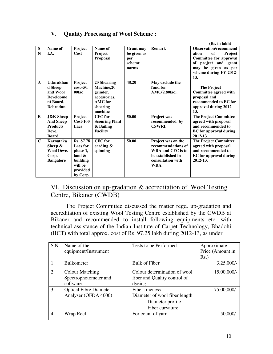# **V. Quality Processing of Wool Scheme :**

|              |                      |                 |                       |                  |                    | (Rs. in lakh)                 |
|--------------|----------------------|-----------------|-----------------------|------------------|--------------------|-------------------------------|
| S            | Name of              | Project         | Name of               | <b>Grant may</b> | <b>Remark</b>      | <b>Observation/recommend</b>  |
| N            | I.A.                 | Cost            | Project               | be given as      |                    | of<br>Project<br>ation        |
|              |                      |                 | <b>Proposal</b>       | per              |                    | Committee for approval        |
|              |                      |                 |                       | scheme           |                    | of project and grant          |
|              |                      |                 |                       | norms            |                    | may be given as per           |
|              |                      |                 |                       |                  |                    | scheme during FY 2012-        |
|              |                      |                 |                       |                  |                    | 13.                           |
| $\mathbf{A}$ | <b>Uttarakhan</b>    | Project         | 20 Shearing           | 48.20            | May exclude the    |                               |
|              | d Sheep              | $cost = 50.$    | Machine,20            |                  | fund for           | <b>The Project</b>            |
|              | and Wool             | 00lac           | grinder,              |                  | $AMC(2.80lac)$ .   | Committee agreed with         |
|              | <b>Developme</b>     |                 | accessories,          |                  |                    | proposal and                  |
|              | nt Board,            |                 | <b>AMC</b> for        |                  |                    | recommended to EC for         |
|              | <b>Dehradun</b>      |                 | shearing              |                  |                    | approval during 2012-         |
|              |                      |                 | machine               |                  |                    | 13.                           |
| B            | <b>J&amp;K</b> Sheep | Project         | <b>CFC</b> for        | 50.00            | Project was        | <b>The Project Committee</b>  |
|              | <b>And Sheep</b>     | $Cost-100$      | <b>Scouring Plant</b> |                  | recommended by     | agreed with proposal          |
|              | <b>Products</b>      | Lacs            | & Bailing             |                  | <b>CSWRI.</b>      | and recommended to            |
|              | Deve.                |                 | <b>Facility</b>       |                  |                    | <b>EC</b> for approval during |
|              | <b>Board</b>         |                 |                       |                  |                    | 2012-13.                      |
| $\mathbf C$  | Karnataka            | Rs. 87.78       | <b>CFC</b> for        | 50.00            | Project was on the | <b>The Project Committee</b>  |
|              | Sheep $\&$           | <b>Lacs</b> for | carding $\&$          |                  | recommendations of | agreed with proposal          |
|              | <b>Wool Deve.</b>    | phase 1,        | spinning              |                  | WRA and CFC is to  | and recommended to            |
|              | Corp.                | land $\&$       |                       |                  | be established in  | <b>EC</b> for approval during |
|              | <b>Bangalore</b>     | building        |                       |                  | consultation with  | 2012-13.                      |
|              |                      | will be         |                       |                  | WRA.               |                               |
|              |                      | provided        |                       |                  |                    |                               |
|              |                      | by Corp.        |                       |                  |                    |                               |

## VI. Discussion on up-gradation & accreditation of Wool Testing Centre, Bikaner (CWDB)

The Project Committee discussed the matter regd. up-gradation and accreditation of existing Wool Testing Centre established by the CWDB at Bikaner and recommended to install following equipments etc. with technical assistance of the Indian Institute of Carpet Technology, Bhadohi (IICT) with total approx. cost of Rs. 97.25 lakh during 2012-13, as under

| S.N | Name of the<br>equipment/Instrument                   | Tests to be Performed                                                                  | Approximate<br>Price (Amount in<br>$Rs.$ ) |
|-----|-------------------------------------------------------|----------------------------------------------------------------------------------------|--------------------------------------------|
| 1.  | <b>Bulkometer</b>                                     | <b>Bulk of Fiber</b>                                                                   | $3,25,000/-$                               |
| 2.  | Colour Matching<br>Spectrophotometer and<br>software  | Colour determination of wool<br>fiber and Quality control of<br>dyeing                 | $15,00,000/-$                              |
| 3.  | <b>Optical Fibre Diameter</b><br>Analyser (OFDA 4000) | Fiber fineness<br>Diameter of wool fiber length<br>Diameter profile<br>Fiber curvature | 75,00,000/-                                |
| 4.  | Wrap Reel                                             | For count of yarn                                                                      | 50,000/                                    |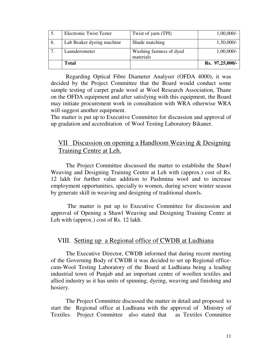|     | <b>Total</b>                   | materials                | Rs. 97,25,000/- |
|-----|--------------------------------|--------------------------|-----------------|
|     | Launderometer                  | Washing fastness of dyed | $1,00,000/-$    |
| -6. | Lab Beaker dyeing machine      | Shade matching           | $1,50,000/-$    |
|     | <b>Electronic Twist Tester</b> | Twist of yarn (TPI)      | $1,00,000/-$    |

 Regarding Optical Fibre Diameter Analyser (OFDA 4000), it was decided by the Project Committee that the Board would conduct some sample testing of carpet grade wool at Wool Research Association, Thane on the OFDA equipment and after satisfying with this equipment, the Board may initiate procurement work in consultation with WRA otherwise WRA will suggest another equipment.

The matter is put up to Executive Committee for discussion and approval of up gradation and accreditation of Wool Testing Laboratory Bikaner.

## VII Discussion on opening a Handloom Weaving & Designing Training Centre at Leh.

The Project Committee discussed the matter to establishe the Shawl Weaving and Designing Training Centre at Leh with (approx.) cost of Rs. 12 lakh for further value addition to Pashmina wool and to increase employment opportunities, specially to women, during severe winter season by generate skill in weaving and designing of traditional shawls.

 The matter is put up to Executive Committee for discussion and approval of Opening a Shawl Weaving and Designing Training Centre at Leh with (approx.) cost of Rs. 12 lakh.

### VIII. Setting up a Regional office of CWDB at Ludhiana

The Executive Director, CWDB informed that during recent meeting of the Governing Body of CWDB it was decided to set up Regional officecum-Wool Testing Laboratory of the Board at Ludhiana being a leading industrial town of Punjab and an important centre of woollen textiles and allied industry as it has units of spinning, dyeing, weaving and finishing and hosiery.

The Project Committee discussed the matter in detail and proposed to start the Regional office at Ludhiana with the approval of Ministry of Textiles. Project Committee also stated that as Textiles Committee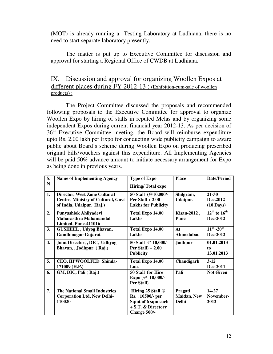(MOT) is already running a Testing Laboratory at Ludhiana, there is no need to start separate laboratory presently.

The matter is put up to Executive Committee for discussion and approval for starting a Regional Office of CWDB at Ludhiana.

### IX. Discussion and approval for organizing Woollen Expos at different places during FY 2012-13 : (Exhibition-cum-sale of woollen products) :

 The Project Committee discussed the proposals and recommended following proposals to the Executive Committee for approval to organize Woollen Expo by hiring of stalls in reputed Melas and by organizing some independent Expos during current financial year 2012-13. As per decision of 36<sup>th</sup> Executive Committee meeting, the Board will reimburse expenditure upto Rs. 2.00 lakh per Expo for conducting wide publicity campaign to aware public about Board's scheme during Woollen Expo on producing prescribed original bills/vouchers against this expenditure. All Implementing Agencies will be paid 50% advance amount to initiate necessary arrangement for Expo as being done in previous years.

| S.<br>N            | <b>Name of Implementing Agency</b>                                                   | <b>Type of Expo</b><br><b>Hiring/Total expo</b>                                                    | <b>Place</b>                                   | <b>Date/Period</b>                      |
|--------------------|--------------------------------------------------------------------------------------|----------------------------------------------------------------------------------------------------|------------------------------------------------|-----------------------------------------|
| 1.                 | <b>Director, West Zone Cultural</b>                                                  | 50 Stall (@10,000/-                                                                                | Shilgram,                                      | $21 - 30$                               |
|                    | <b>Centre, Ministry of Cultural, Govt</b><br>of India, Udaipur. (Raj.)               | Per Stall $+2.00$<br><b>Lakhs for Publicity</b>                                                    | Udaipur.                                       | Dec.2012<br>$(10 \text{ Days})$         |
| 2.                 | Punyashlok Ahilyadevi<br>Maharasthra Mahamandal<br>Limited, Pune-411016              | Total Expo 14.00<br>Lakhs                                                                          | Kisan-2012,<br><b>Pune</b>                     | $12^{th}$ to $16^{th}$<br>Dec-2012      |
| 3.                 | <b>GUSHEEL</b> , Udyog Bhavan,<br>Gandhinagar-Gujarat                                | Total Expo 14.00<br>Lakhs                                                                          | At<br>Ahmedabad                                | $11^{th}$ -20 <sup>th</sup><br>Dec-2012 |
| $\boldsymbol{4}$ . | Joint Director, , DIC, Udhyog<br>Bhavan, , Jodhpur. (Raj.)                           | 50 Stall @ 10,000/-<br>Per Stall $) + 2.00$<br><b>Publicity</b>                                    | <b>Jadhpur</b>                                 | 01.01.2013<br>to<br>13.01.2013          |
| 5.                 | CEO, HPWOOLFED Shimla-<br>171009 (H.P.)                                              | Total Expo 14.00<br>Lacs                                                                           | Chandigarh                                     | $3-12$<br>Dec-2011                      |
| 6.                 | GM, DIC, Pali (Raj.)                                                                 | 50 Stall for Hire<br>Expo (@ 10,000/-<br>Per Stall)                                                | Pali                                           | <b>Not Given</b>                        |
| 7.                 | <b>The National Small Industries</b><br><b>Corporation Ltd, New Delhi-</b><br>110020 | Hiring 25 Stall @<br>Rs. . 10500/- per<br>Sqmt of 6 sqm each<br>+ S.T. & Directory<br>Charge 500/- | Pragati<br><b>Maidan</b> , New<br><b>Delhi</b> | 14-27<br>November-<br>2012              |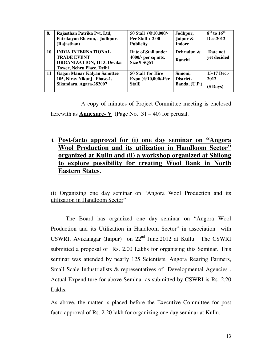| 8. | Rajasthan Patrika Pvt. Ltd,<br>Patrikayan Bhavan, , Jodhpur.<br>(Rajasthan)                                        | 50 Stall (@10,000/-<br>Per Stall $+2.00$<br><b>Publicity</b>   | Jodhpur,<br>Jaipur &<br><b>Indore</b> | $8th$ to $16th$<br>Dec-2012               |
|----|--------------------------------------------------------------------------------------------------------------------|----------------------------------------------------------------|---------------------------------------|-------------------------------------------|
| 10 | <b>INDIA INTERNATIONAL</b><br><b>TRADE EVENT</b><br>ORGANIZATION, 1113, Devika<br><b>Tower, Nehru Place, Delhi</b> | <b>Rate of Stall under</b><br>4000/- per sq mts.<br>Size 9 SQM | Dehradun &<br>Ranchi                  | Date not<br>yet decided                   |
| 11 | <b>Gagan Manav Kalyan Samittee</b><br>105, Nirav Nikunj, Phase-1,<br>Sikandara, Agara-282007                       | 50 Stall for Hire<br>Expo (@10,000/-Per<br>Stall)              | Simoni,<br>District-<br>Banda, (U.P.) | 13-17 Dec.-<br>2012<br>$(5 \text{ Days})$ |

 A copy of minutes of Project Committee meeting is enclosed herewith as **Annexure- V** (Page No.  $31 - 40$ ) for perusal.

**4. Post-facto approval for (i) one day seminar on "Angora Wool Production and its utilization in Handloom Sector" organized at Kullu and (ii) a workshop organized at Shilong to explore possibility for creating Wool Bank in North Eastern States.** 

(i) Organizing one day seminar on "Angora Wool Production and its utilization in Handloom Sector"

 The Board has organized one day seminar on "Angora Wool Production and its Utilization in Handloom Sector" in association with CSWRI, Avikanagar (Jaipur) on  $22<sup>nd</sup>$  June, 2012 at Kullu. The CSWRI submitted a proposal of Rs. 2.00 Lakhs for organising this Seminar. This seminar was attended by nearly 125 Scientists, Angora Rearing Farmers, Small Scale Industrialists & representatives of Developmental Agencies. Actual Expenditure for above Seminar as submitted by CSWRI is Rs. 2.20 Lakhs.

As above, the matter is placed before the Executive Committee for post facto approval of Rs. 2.20 lakh for organizing one day seminar at Kullu.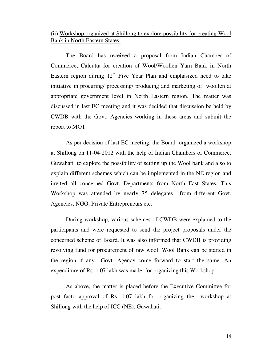#### (ii) Workshop organized at Shillong to explore possibility for creating Wool Bank in North Eastern States.

 The Board has received a proposal from Indian Chamber of Commerce, Calcutta for creation of Wool/Woollen Yarn Bank in North Eastern region during  $12<sup>th</sup>$  Five Year Plan and emphasized need to take initiative in procuring/ processing/ producing and marketing of woollen at appropriate government level in North Eastern region. The matter was discussed in last EC meeting and it was decided that discussion be held by CWDB with the Govt. Agencies working in these areas and submit the report to MOT.

 As per decision of last EC meeting, the Board organized a workshop at Shillong on 11-04-2012 with the help of Indian Chambers of Commerce, Guwahati to explore the possibility of setting up the Wool bank and also to explain different schemes which can be implemented in the NE region and invited all concerned Govt. Departments from North East States. This Workshop was attended by nearly 75 delegates from different Govt. Agencies, NGO, Private Entrepreneurs etc.

 During workshop, various schemes of CWDB were explained to the participants and were requested to send the project proposals under the concerned scheme of Board. It was also informed that CWDB is providing revolving fund for procurement of raw wool. Wool Bank can be started in the region if any Govt. Agency come forward to start the same. An expenditure of Rs. 1.07 lakh was made for organizing this Workshop.

As above, the matter is placed before the Executive Committee for post facto approval of Rs. 1.07 lakh for organizing the workshop at Shillong with the help of ICC (NE), Guwahati.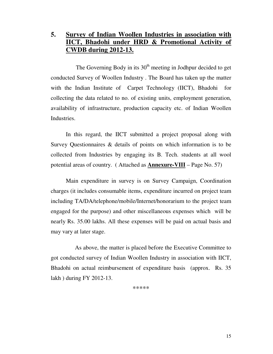# **5. Survey of Indian Woollen Industries in association with IICT, Bhadohi under HRD & Promotional Activity of CWDB during 2012-13.**

The Governing Body in its  $30<sup>th</sup>$  meeting in Jodhpur decided to get conducted Survey of Woollen Industry . The Board has taken up the matter with the Indian Institute of Carpet Technology (IICT), Bhadohi for collecting the data related to no. of existing units, employment generation, availability of infrastructure, production capacity etc. of Indian Woollen Industries.

 In this regard, the IICT submitted a project proposal along with Survey Questionnaires & details of points on which information is to be collected from Industries by engaging its B. Tech. students at all wool potential areas of country. ( Attached as **Annexure-VIII** – Page No. 57)

 Main expenditure in survey is on Survey Campaign, Coordination charges (it includes consumable items, expenditure incurred on project team including TA/DA/telephone/mobile/Internet/honorarium to the project team engaged for the purpose) and other miscellaneous expenses which will be nearly Rs. 35.00 lakhs. All these expenses will be paid on actual basis and may vary at later stage.

 As above, the matter is placed before the Executive Committee to got conducted survey of Indian Woollen Industry in association with IICT, Bhadohi on actual reimbursement of expenditure basis (approx. Rs. 35 lakh ) during FY 2012-13.

\*\*\*\*\*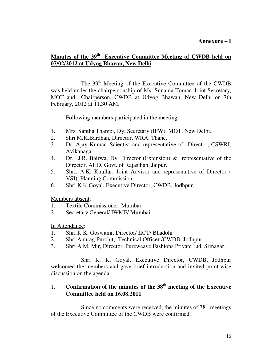#### **Annexure – I**

### **Minutes of the 39th Executive Committee Meeting of CWDB held on 07/02/2012 at Udyog Bhavan, New Delhi**

The 39<sup>th</sup> Meeting of the Executive Committee of the CWDB was held under the chairpersonship of Ms. Sunaina Tomar, Joint Secretary, MOT and Chairperson, CWDB at Udyog Bhawan, New Delhi on 7th February, 2012 at 11.30 AM.

Following members participated in the meeting:

- 1. Mrs. Santha Thampi, Dy. Secretary (IFW), MOT, New Delhi.
- 2. Shri M.K.Bardhan, Director, WRA, Thane.
- 3. Dr. Ajay Kumar, Scientist and representative of Director, CSWRI, Avikanagar.
- 4. Dr. J.R. Bairwa, Dy. Director (Extension) & representative of the Director, AHD, Govt. of Rajasthan, Jaipur.
- 5. Shri. A.K. Khullar, Joint Advisor and representative of Director ( VSI), Planning Commission
- 6. Shri K.K.Goyal, Executive Director, CWDB, Jodhpur.

Members absent:

- 1. Textile Commissioner, Mumbai
- 2. Secretary General/ IWMF/ Mumbai

In Attendance:

- 1. Shri K.K. Goswami, Director/ IICT/ Bhadohi
- 2. Shri Anurag Purohit, Technical Officer /CWDB, Jodhpur.
- 3. Shri A.M. Mir, Director, Pureweave Fashions Private Ltd. Srinagar.

 Shri K. K. Goyal, Executive Director, CWDB, Jodhpur welcomed the members and gave brief introduction and invited point-wise discussion on the agenda.

### 1. **Confirmation of the minutes of the 38th meeting of the Executive Committee held on 16.08.2011**

Since no comments were received, the minutes of  $38<sup>th</sup>$  meetings of the Executive Committee of the CWDB were confirmed.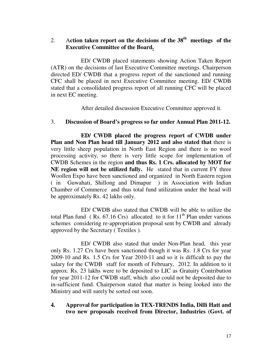### 2. A**ction taken report on the decisions of the 38th meetings of the Executive Committee of the Board.**

 ED/ CWDB placed statements showing Action Taken Report (ATR) on the decisions of last Executive Committee meetings. Chairperson directed ED/ CWDB that a progress report of the sanctioned and running CFC shall be placed in next Executive Committee meeting. ED/ CWDB stated that a consolidated progress report of all running CFC will be placed in next EC meeting.

After detailed discussion Executive Committee approved it.

#### 3. **Discussion of Board's progress so far under Annual Plan 2011-12.**

 **ED/ CWDB placed the progress report of CWDB under Plan and Non Plan head till January 2012 and also stated that** there is very little sheep population in North East Region and there is no wool processing activity, so there is very little scope for implementation of CWDB Schemes in the region **and thus Rs. 1 Crs. allocated by MOT for NE region will not be utilized fully.** He stated that in current FY three Woollen Expo have been sanctioned and organized in North Eastern region ( in Guwahati, Shillong and Dimapur ) in Association with Indian Chamber of Commerce and thus total fund utilization under the head will be approximately Rs. 42 lakhs only.

 ED/ CWDB also stated that CWDB will be able to utilize the total Plan fund ( Rs.  $67.16$  Crs) allocated to it for  $11<sup>th</sup>$  Plan under various schemes considering re-appropriation proposal sent by CWDB and already approved by the Secretary ( Textiles ).

 ED/ CWDB also stated that under Non-Plan head, this year only Rs. 1.27 Crs have been sanctioned though it was Rs. 1.8 Crs for year 2009-10 and Rs. 1.5 Crs for Year 2010-11 and so it is difficult to pay the salary for the CWDB staff for month of February, 2012. In addition to it approx. Rs. 23 lakhs were to be deposited to LIC as Gratuity Contribution for year 2011-12 for CWDB staff, which also could not be deposited due to in-sufficient fund. Chairperson stated that matter is being looked into the Ministry and will surely be sorted out soon.

#### **4. Approval for participation in TEX-TRENDS India, Dilli Hatt and two new proposals received from Director, Industries (Govt. of**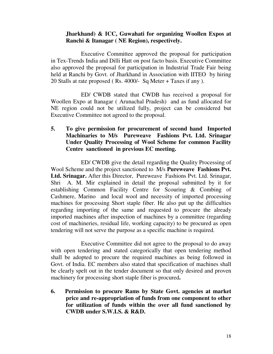#### **Jharkhand) & ICC, Guwahati for organizing Woollen Expos at Ranchi & Itanagar ( NE Region), respectively.**

Executive Committee approved the proposal for participation in Tex-Trends India and Dilli Hatt on post facto basis. Executive Committee also approved the proposal for participation in Industrial Trade Fair being held at Ranchi by Govt. of Jharkhand in Association with IITEO by hiring 20 Stalls at rate proposed ( Rs. 4000/- Sq Meter + Taxes if any ).

 ED/ CWDB stated that CWDB has received a proposal for Woollen Expo at Itanagar ( Arunachal Pradesh) and as fund allocated for NE region could not be utilized fully, project can be considered but Executive Committee not agreed to the proposal.

#### **5. To give permission for procurement of second hand Imported Machinaries to M/s Pureweave Fashions Pvt. Ltd. Srinagar Under Quality Processing of Wool Scheme for common Facility Centre sanctioned in previous EC meeting.**

 ED/ CWDB give the detail regarding the Quality Processing of Wool Scheme and the project sanctioned to M/s **Pureweave Fashions Pvt. Ltd. Srinagar.** After this Director, Pureweave Fashions Pvt. Ltd. Srinagar, Shri A. M. Mir explained in detail the proposal submitted by it for establishing Common Facility Centre for Scouring & Combing of Cashmere, Marino and local wool and necessity of imported processing machines for processing Short staple fiber. He also put up the difficulties regarding importing of the same and requested to procure the already imported machines after inspection of machines by a committee (regarding cost of machineries, residual life, working capacity) to be procured as open tendering will not serve the purpose as a specific machine is required.

 Executive Committee did not agree to the proposal to do away with open tendering and stated categorically that open tendering method shall be adopted to procure the required machines as being followed in Govt. of India. EC members also stated that specification of machines shall be clearly spelt out in the tender document so that only desired and proven machinery for processing short staple fiber is procured**.** 

**6. Permission to procure Rams by State Govt. agencies at market price and re-appropriation of funds from one component to other for utilization of funds within the over all fund sanctioned by CWDB under S.W.I.S. & R&D.**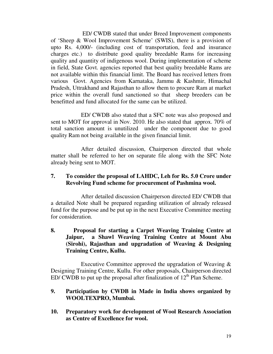ED/ CWDB stated that under Breed Improvement components of 'Sheep & Wool Improvement Scheme' (SWIS), there is a provision of upto Rs. 4,000/- (including cost of transportation, feed and insurance charges etc.) to distribute good quality breedable Rams for increasing quality and quantity of indigenous wool. During implementation of scheme in field, State Govt. agencies reported that best quality breedable Rams are not available within this financial limit. The Board has received letters from various Govt. Agencies from Karnataka, Jammu & Kashmir, Himachal Pradesh, Uttrakhand and Rajasthan to allow them to procure Ram at market price within the overall fund sanctioned so that sheep breeders can be benefitted and fund allocated for the same can be utilized.

 ED/ CWDB also stated that a SFC note was also proposed and sent to MOT for approval in Nov. 2010. He also stated that approx. 70% of total sanction amount is unutilized under the component due to good quality Ram not being available in the given financial limit.

 After detailed discussion, Chairperson directed that whole matter shall be referred to her on separate file along with the SFC Note already being sent to MOT.

#### **7. To consider the proposal of LAHDC, Leh for Rs. 5.0 Crore under Revolving Fund scheme for procurement of Pashmina wool.**

 After detailed discussion Chairperson directed ED/ CWDB that a detailed Note shall be prepared regarding utilization of already released fund for the purpose and be put up in the next Executive Committee meeting for consideration.

**8. Proposal for starting a Carpet Weaving Training Centre at Jaipur, a Shawl Weaving Training Centre at Mount Abu (Sirohi), Rajasthan and upgradation of Weaving & Designing Training Centre, Kullu.** 

 Executive Committee approved the upgradation of Weaving & Designing Training Centre, Kullu. For other proposals, Chairperson directed ED/ CWDB to put up the proposal after finalization of  $12<sup>th</sup>$  Plan Scheme.

#### **9. Participation by CWDB in Made in India shows organized by WOOLTEXPRO, Mumbai.**

**10. Preparatory work for development of Wool Research Association as Centre of Excellence for wool.**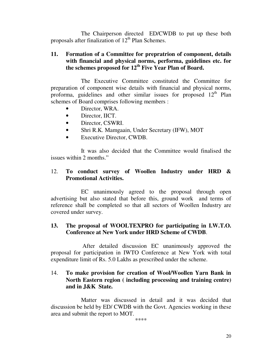The Chairperson directed ED/CWDB to put up these both proposals after finalization of  $12<sup>th</sup>$  Plan Schemes.

#### **11. Formation of a Committee for prepratrion of component, details with financial and physical norms, performa, guidelines etc. for the schemes proposed for 12th Five Year Plan of Board.**

 The Executive Committee constituted the Committee for preparation of component wise details with financial and physical norms, proforma, guidelines and other similar issues for proposed  $12<sup>th</sup>$  Plan schemes of Board comprises following members :

- Director, WRA.
- Director, IICT.
- Director, CSWRI.
- Shri R.K. Mamgaain, Under Secretary (IFW), MOT
- Executive Director, CWDB.

 It was also decided that the Committee would finalised the issues within 2 months."

#### 12. **To conduct survey of Woollen Industry under HRD & Promotional Activities.**

EC unanimously agreed to the proposal through open advertising but also stated that before this, ground work and terms of reference shall be completed so that all sectors of Woollen Industry are covered under survey.

#### **13. The proposal of WOOLTEXPRO for participating in I.W.T.O. Conference at New York under HRD Scheme of CWDB**.

 After detailed discussion EC unanimously approved the proposal for participation in IWTO Conference at New York with total expenditure limit of Rs. 5.0 Lakhs as prescribed under the scheme.

### 14. **To make provision for creation of Wool/Woollen Yarn Bank in North Eastern region ( including processing and training centre) and in J&K State.**

 Matter was discussed in detail and it was decided that discussion be held by ED/ CWDB with the Govt. Agencies working in these area and submit the report to MOT.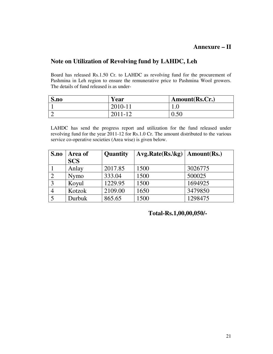#### **Annexure – II**

### **Note on Utilization of Revolving fund by LAHDC, Leh**

Board has released Rs.1.50 Cr. to LAHDC as revolving fund for the procurement of Pashmina in Leh region to ensure the remunerative price to Pashmina Wool growers. The details of fund released is as under-

| S.no | Year        | Amount(Rs.Cr.) |
|------|-------------|----------------|
|      | 2010-11     |                |
|      | $2011 - 12$ | 0.50           |

LAHDC has send the progress report and utilization for the fund released under revolving fund for the year 2011-12 for Rs.1.0 Cr. The amount distributed to the various service co-operative societies (Area wise) is given below.

| S.no | Area of     | Quantity | $Avg. Rate(Rs.\{kg\}   Amount(Rs.)$ |         |
|------|-------------|----------|-------------------------------------|---------|
|      | <b>SCS</b>  |          |                                     |         |
|      | Anlay       | 2017.85  | 1500                                | 3026775 |
| ∍    | <b>Nymo</b> | 333.04   | 1500                                | 500025  |
| 3    | Koyul       | 1229.95  | 1500                                | 1694925 |
|      | Kotzok      | 2109.00  | 1650                                | 3479850 |
|      | Durbuk      | 865.65   | 1500                                | 1298475 |

 **Total-Rs.1,00,00,050/-**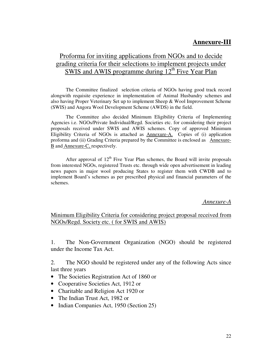# **Annexure-III**

# Proforma for inviting applications from NGOs and to decide grading criteria for their selections to implement projects under SWIS and AWIS programme during  $12<sup>th</sup>$  Five Year Plan

 The Committee finalized selection criteria of NGOs having good track record alongwith requisite experience in implementation of Animal Husbandry schemes and also having Proper Veterinary Set up to implement Sheep & Wool Improvement Scheme (SWIS) and Angora Wool Development Scheme (AWDS) in the field.

 The Committee also decided Minimum Eligibility Criteria of Implementing Agencies i.e. NGOs/Private Individual/Regd. Societies etc. for considering their project proposals received under SWIS and AWIS schemes. Copy of approved Minimum Eligibility Criteria of NGOs is attached as Annexure-A. Copies of (i) application proforma and (ii) Grading Criteria prepared by the Committee is enclosed as Annexure-B and Annexure-C, respectively.

After approval of  $12<sup>th</sup>$  Five Year Plan schemes, the Board will invite proposals from interested NGOs, registered Trusts etc. through wide open advertisement in leading news papers in major wool producing States to register them with CWDB and to implement Board's schemes as per prescribed physical and financial parameters of the schemes.

#### *Annexure-A*

#### Minimum Eligibility Criteria for considering project proposal received from NGOs/Regd. Society etc. ( for SWIS and AWIS)

1. The Non-Government Organization (NGO) should be registered under the Income Tax Act.

2. The NGO should be registered under any of the following Acts since last three years

- The Societies Registration Act of 1860 or
- Cooperative Societies Act, 1912 or
- Charitable and Religion Act 1920 or
- The Indian Trust Act, 1982 or
- Indian Companies Act, 1950 (Section 25)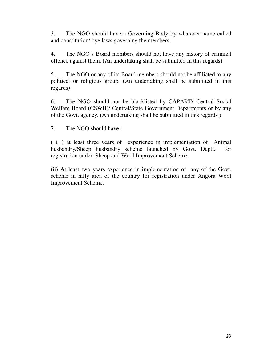3. The NGO should have a Governing Body by whatever name called and constitution/ bye laws governing the members.

4. The NGO's Board members should not have any history of criminal offence against them. (An undertaking shall be submitted in this regards)

5. The NGO or any of its Board members should not be affiliated to any political or religious group. (An undertaking shall be submitted in this regards)

6. The NGO should not be blacklisted by CAPART/ Central Social Welfare Board (CSWB)/ Central/State Government Departments or by any of the Govt. agency. (An undertaking shall be submitted in this regards )

7. The NGO should have :

( i. ) at least three years of experience in implementation of Animal husbandry/Sheep husbandry scheme launched by Govt. Deptt. for registration under Sheep and Wool Improvement Scheme.

(ii) At least two years experience in implementation of any of the Govt. scheme in hilly area of the country for registration under Angora Wool Improvement Scheme.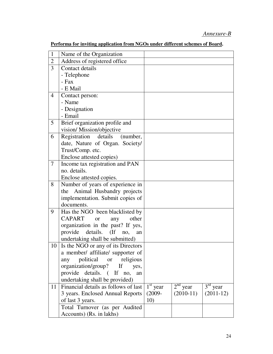# *Annexure-B*

| $\mathbf{1}$   |                                            |            |             |             |
|----------------|--------------------------------------------|------------|-------------|-------------|
|                | Name of the Organization                   |            |             |             |
| $\overline{2}$ | Address of registered office               |            |             |             |
| 3              | Contact details                            |            |             |             |
|                | - Telephone                                |            |             |             |
|                | - Fax                                      |            |             |             |
|                | - E Mail                                   |            |             |             |
| $\overline{4}$ | Contact person:                            |            |             |             |
|                | - Name                                     |            |             |             |
|                | - Designation                              |            |             |             |
|                | - Email                                    |            |             |             |
| 5              | Brief organization profile and             |            |             |             |
|                | vision/Mission/objective                   |            |             |             |
| 6              | Registration details<br>(number,           |            |             |             |
|                | date, Nature of Organ. Society/            |            |             |             |
|                | Trust/Comp. etc.                           |            |             |             |
|                | Enclose attested copies)                   |            |             |             |
| $\tau$         | Income tax registration and PAN            |            |             |             |
|                | no. details.                               |            |             |             |
|                | Enclose attested copies.                   |            |             |             |
| 8              | Number of years of experience in           |            |             |             |
|                | Animal Husbandry projects<br>the           |            |             |             |
|                | implementation. Submit copies of           |            |             |             |
|                | documents.                                 |            |             |             |
| 9              | Has the NGO been blacklisted by            |            |             |             |
|                | <b>CAPART</b><br>other<br><b>or</b><br>any |            |             |             |
|                | organization in the past? If yes,          |            |             |             |
|                | details. (If<br>provide<br>no,<br>an       |            |             |             |
|                | undertaking shall be submitted)            |            |             |             |
| 10             | Is the NGO or any of its Directors         |            |             |             |
|                | a member/ affiliate/ supporter of          |            |             |             |
|                | political or religious<br>any              |            |             |             |
|                | organization/group? If yes,                |            |             |             |
|                | provide details. (If no,<br>an             |            |             |             |
|                | undertaking shall be provided)             |            |             |             |
| 11             | Financial details as follows of last       | $1st$ year | $2nd$ year  | $3rd$ year  |
|                | 3 years. Enclosed Annual Reports           | $(2009 -$  | $(2010-11)$ | $(2011-12)$ |
|                | of last 3 years.                           | 10)        |             |             |
|                | Total Turnover (as per Audited             |            |             |             |
|                | Accounts) (Rs. in lakhs)                   |            |             |             |

#### **Performa for inviting application from NGOs under different schemes of Board.**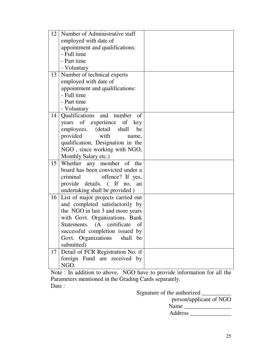| 12              | Number of Administrative staff        |  |
|-----------------|---------------------------------------|--|
|                 | employed with date of                 |  |
|                 | appointment and qualifications:       |  |
|                 | - Full time                           |  |
|                 | - Part time                           |  |
|                 | - Voluntary                           |  |
| 13              | Number of technical experts           |  |
|                 | employed with date of                 |  |
|                 | appointment and qualifications:       |  |
|                 | - Full time                           |  |
|                 | - Part time                           |  |
|                 | - Voluntary                           |  |
| 14 <sup>1</sup> | Qualifications and number<br>of       |  |
|                 | years of experience of key            |  |
|                 | employees. (detail shall<br>be        |  |
|                 | provided<br>with<br>name,             |  |
|                 | qualification, Designation in the     |  |
|                 | NGO, since working with NGO,          |  |
|                 | Monthly Salary etc.)                  |  |
|                 | 15 Whether any member of the          |  |
|                 | board has been convicted under a      |  |
|                 | criminal<br>offence? If yes,          |  |
|                 | provide details. (If no, an           |  |
|                 | undertaking shall be provided)        |  |
|                 | 16 List of major projects carried out |  |
|                 | and completed satisfactorily by       |  |
|                 | the NGO in last 3 and more years      |  |
|                 | with Govt. Organizations. Bank        |  |
|                 | Statements. (A certificate<br>of      |  |
|                 | successful completion issued by       |  |
|                 | Govt. Organizations<br>shall<br>be    |  |
|                 | submitted)                            |  |
| 17              | Detail of FCR Registration No. if     |  |
|                 | foreign Fund are received by          |  |
|                 | NGO.                                  |  |

Note : In addition to above, NGO have to provide information for all the Parameters mentioned in the Grading Cards separately. Date :

Signature of the authorized \_\_\_\_\_\_\_\_\_\_\_

person/applicant of NGO Name \_\_\_\_\_\_\_\_\_\_\_\_\_\_\_\_ Address \_\_\_\_\_\_\_\_\_\_\_\_\_\_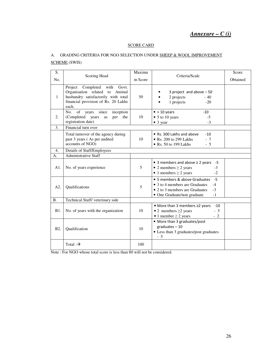#### *Annexure – C (i)*

#### SCORE CARD

#### A. GRADING CRITERIA FOR NGO SELECTION UNDER SHEEP & WOOL IMPROVEMENT SCHEME (SWIS)

| S.               |                                                                                                                                                          | Maximu  |                                                                                                                                                                  | Score    |
|------------------|----------------------------------------------------------------------------------------------------------------------------------------------------------|---------|------------------------------------------------------------------------------------------------------------------------------------------------------------------|----------|
| No.              | Scoring Head                                                                                                                                             | m Score | Criteria/Scale                                                                                                                                                   | Obtained |
| $\mathbf{1}$     | Project Completed with<br>Govt.<br>Organisation related to Animal<br>husbandry satisfactorily with total<br>financial provision of Rs. 20 Lakhs<br>each. | 50      | 3 project and above $-50$<br>2 projects<br>$-40$<br>1 projects<br>$-20$                                                                                          |          |
| 2.               | since<br>inception<br>No.<br>of years<br>(Completed years)<br>per<br>the<br>as<br>registration date)                                                     | 10      | $-10$<br>$\bullet$ > 10 years<br>• 5 to 10 years<br>$-5$<br>$\bullet$ 3 year<br>$-3$                                                                             |          |
| 3.               | Financial turn over                                                                                                                                      |         |                                                                                                                                                                  |          |
|                  | Total turnover of the agency during<br>past 3 years (As per audited<br>accounts of NGO)                                                                  | 10      | • Rs. 300 Lakhs and above<br>$-10$<br>$\bullet$ Rs. 200 to 299 Lakhs<br>$-7$<br>• Rs. 50 to 199 Lakhs<br>$-5$                                                    |          |
| $\overline{4}$ . | Details of Staff/Employees                                                                                                                               |         |                                                                                                                                                                  |          |
| А.               | <b>Administrative Staff</b>                                                                                                                              |         |                                                                                                                                                                  |          |
| A1.              | No. of years experience                                                                                                                                  | 5       | • 3 members and above $\geq$ 2 years -5<br>• 2 members $\geq$ 2 years<br>$-3$<br>• 1 members $\geq$ 2 years<br>$-2$                                              |          |
| A2.              | Qualifications                                                                                                                                           | 5       | $-5$<br>• 5 members & above Graduates<br>• 3 to 4 members are Graduates<br>$-4$<br>• 2 to 3 members are Graduates<br>$-3$<br>• One Graduate/non graduate<br>$-1$ |          |
| B <sub>1</sub>   | Technical Staff/veterinary side                                                                                                                          |         |                                                                                                                                                                  |          |
| B1.              | No. of years with the organization                                                                                                                       | 10      | • More than 3 members ≥2 years<br>$-10$<br>• 2 members $\geq$ years<br>$-5$<br>• 1 member $\geq$ 2 years<br>$-2$                                                 |          |
| B <sub>2</sub> . | Qualification                                                                                                                                            | 10      | • More than 3 graduates/post<br>$graduates - 10$<br>• Less than 3 graduates/post graduates<br>$-5$                                                               |          |
|                  | Total: $\rightarrow$                                                                                                                                     | 100     |                                                                                                                                                                  |          |

 $\frac{1}{\text{Note : For NGO whose total score is less than 80 will not be considered.}}$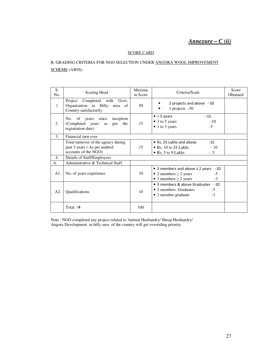## *Annexure – C (ii)*

#### SCORE CARD

#### B. GRADING CRITERIA FOR NGO SELECTION UNDER ANGORA WOOL IMPROVEMENT SCHEME (AWIS)

| S.<br>No.    | Scoring Head                                                                                | Maximu<br>m Score | Criteria/Scale                                                                                                          | Score<br>Obtained |
|--------------|---------------------------------------------------------------------------------------------|-------------------|-------------------------------------------------------------------------------------------------------------------------|-------------------|
| $\mathbf{1}$ | Project<br>Completed with Govt.<br>Organisation in Hilly area of<br>Country satisfactorily. | 50                | 2 projects and above - 50<br>1 projects -30                                                                             |                   |
| 2.           | No. of years since inception<br>(Completed years as<br>per the<br>registration date)        | 15                | $-15$<br>$\bullet$ > 5 years<br>$\bullet$ 3 to 5 years<br>$-10$<br>$\bullet$ 1 to 3 years<br>$-5$                       |                   |
| 3.           | Financial turn over                                                                         |                   |                                                                                                                         |                   |
|              | Total turnover of the agency during<br>past 3 years (As per audited<br>accounts of the NGO) | 15                | $\bullet$ Rs. 25 Lakhs and above<br>$-15$<br>$-10$<br>$\bullet$ Rs. 10 to 24 Lakhs<br>• Rs. 5 to 9 Lakhs<br>$-5$        |                   |
| 4.           | Details of Staff/Employees                                                                  |                   |                                                                                                                         |                   |
| A.           | Administrative & Technical Staff                                                            |                   |                                                                                                                         |                   |
| A1.          | No. of years experience                                                                     | 10                | • 3 members and above $\geq 2$ years<br>-10<br>• 2 members $\geq$ 2 years<br>$-5$<br>$-3$<br>• 1 members $\geq$ 2 years |                   |
| A2.          | Qualifications                                                                              | 10                | • 3 members & above Graduates -10<br>• 2 members Graduates<br>$-5$<br>$-3$<br>• 1 member graduate                       |                   |
|              | Total: $\rightarrow$                                                                        | 100               |                                                                                                                         |                   |

Note : NGO completed any project related to Animal Husbandry/ Sheep Husbandry/ Angora Development in hilly area of the country will get overriding priority.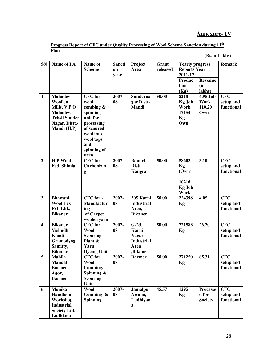## **Annexure- IV**

| Progress Report of CFC under Quality Processing of Wool Scheme Sanction during 11 <sup>th</sup> |  |  |  |
|-------------------------------------------------------------------------------------------------|--|--|--|
| Plan                                                                                            |  |  |  |

 **(Rs.in Lakhs)** 

| <b>SN</b>        | Name of I.A                | Name of                    | Sancti | Project                   | Grant    | <b>Yearly progress</b> |                     | <b>Remark</b> |
|------------------|----------------------------|----------------------------|--------|---------------------------|----------|------------------------|---------------------|---------------|
|                  |                            | <b>Scheme</b>              | on     | Area                      | released |                        | <b>Reports Year</b> |               |
|                  |                            |                            | year   |                           |          | 2011-12                |                     |               |
|                  |                            |                            |        |                           |          | Produc                 | <b>Revenue</b>      |               |
|                  |                            |                            |        |                           |          | tion                   | (in                 |               |
|                  |                            |                            |        |                           |          | (Kg)                   | lakhs)              |               |
| 1.               | <b>Mahadev</b>             | <b>CFC</b> for             | 2007-  | <b>Sunderna</b>           | 50.00    | 8218                   | 4.95 Job            | <b>CFC</b>    |
|                  | Woollen                    | wool                       | 08     | gar Distt-                |          | <b>Kg Job</b>          | Work                | setup and     |
|                  | Mills, V.P.O               | combing $\&$               |        | <b>Mandi</b>              |          | Work                   | 110.20              | functional    |
|                  | Mahadev,                   | spinning                   |        |                           |          | 17154                  | Own                 |               |
|                  | <b>Tehsil Sunder</b>       | unit for                   |        |                           |          | Kg                     |                     |               |
|                  | Nagar, Distt.-             | processing                 |        |                           |          | Own                    |                     |               |
|                  | Mandi (H.P)                | of scoured                 |        |                           |          |                        |                     |               |
|                  |                            | wool into                  |        |                           |          |                        |                     |               |
|                  |                            | wool tops                  |        |                           |          |                        |                     |               |
|                  |                            | and                        |        |                           |          |                        |                     |               |
|                  |                            | spinning of<br>yarn        |        |                           |          |                        |                     |               |
| 2.               | <b>H.P Wool</b>            | <b>CFC</b> for             | 2007-  | <b>Banuri</b>             | 50.00    | 58603                  | 3.10                | <b>CFC</b>    |
|                  | <b>Fed Shimla</b>          | <b>Carbonizin</b>          | 08     | <b>Distt</b>              |          | Kg                     |                     | setup and     |
|                  |                            | g                          |        | Kangra                    |          | (Own)                  |                     | functional    |
|                  |                            |                            |        |                           |          |                        |                     |               |
|                  |                            |                            |        |                           |          | 10216                  |                     |               |
|                  |                            |                            |        |                           |          | <b>Kg Job</b>          |                     |               |
|                  |                            |                            |        |                           |          | Work                   |                     |               |
| 3.               | <b>Bhawani</b>             | CFC for -                  | 2007-  | 205, Karni                | 50.00    | 224398                 | 4.05                | <b>CFC</b>    |
|                  | <b>Wool Tex</b>            | <b>Manufactur</b>          | 08     | <b>Industrial</b>         |          | Kg                     |                     | setup and     |
|                  | Pvt. Ltd.,                 | ing                        |        | Area,                     |          |                        |                     | functional    |
|                  | <b>Bikaner</b>             | of Carpet                  |        | <b>Bikaner</b>            |          |                        |                     |               |
|                  |                            | woolen yarn                |        |                           |          |                        |                     |               |
| $\overline{4}$ . | <b>Bikaner</b>             | <b>CFC</b> for             | 2007-  | $G-23$ ,                  | 50.00    | 721583                 | 26.20               | <b>CFC</b>    |
|                  | <b>Vishudh</b>             | <b>Wool</b>                | 08     | <b>Karni</b>              |          | Kg                     |                     | setup and     |
|                  | <b>Khadi</b>               | <b>Scouring</b>            |        | <b>Nagar</b>              |          |                        |                     | functional    |
|                  | Gramodyog                  | Plant &                    |        | <b>Industrial</b><br>Area |          |                        |                     |               |
|                  | Samitty,<br><b>Bikaner</b> | Yarn<br><b>Dyeing Unit</b> |        | ,Bikaner                  |          |                        |                     |               |
| 5.               | <b>Mahila</b>              | <b>CFC</b> for             | 2007-  | <b>Barmer</b>             | 50.00    | 271250                 | 65.31               | <b>CFC</b>    |
|                  | <b>Mandal</b>              | Wool                       | 08     |                           |          | <b>Kg</b>              |                     | setup and     |
|                  | <b>Barmer</b>              | Combing,                   |        |                           |          |                        |                     | functional    |
|                  | Agor,                      | Spinning $\&$              |        |                           |          |                        |                     |               |
|                  | <b>Barmer</b>              | <b>Scouring</b>            |        |                           |          |                        |                     |               |
|                  |                            | Unit                       |        |                           |          |                        |                     |               |
| 6.               | <b>Monika</b>              | <b>Wool</b>                | 2007-  | <b>Jamalpur</b>           | 45.57    | 1295                   | <b>Processe</b>     | <b>CFC</b>    |
|                  | Handloom                   | Combing &                  | 08     | Awana,                    |          | Kg                     | d for               | setup and     |
|                  | Workshop                   | <b>Spinning</b>            |        | Ludhiyan                  |          |                        | <b>Society</b>      | functional    |
|                  | <b>Industrial</b>          |                            |        | a                         |          |                        |                     |               |
|                  | Society Ltd.,              |                            |        |                           |          |                        |                     |               |
|                  | Ludhiana                   |                            |        |                           |          |                        |                     |               |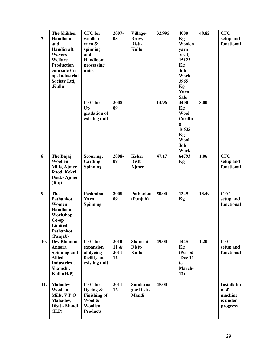| 7.  | <b>The Shikher</b><br><b>Handloom</b><br>and<br>Handicraft<br><b>Wavers</b><br>Welfare<br><b>Production</b><br>cum sale Co-<br>op. Industrial<br>Society Ltd,<br>,Kullu | <b>CFC</b> for<br>woollen<br>yarn &<br>spinning<br>and<br>Handloom<br>processing<br>units | 2007-<br>08                        | Village-<br>Brow,<br>Distt-<br>Kullu         | 32.995 | 4000<br>Kg<br>Woolen<br>yarn<br>(self)<br>15123<br>Kg<br><b>Job</b><br>Work<br>3965<br>Kg                                  | 48.82 | <b>CFC</b><br>setup and<br>functional                         |
|-----|-------------------------------------------------------------------------------------------------------------------------------------------------------------------------|-------------------------------------------------------------------------------------------|------------------------------------|----------------------------------------------|--------|----------------------------------------------------------------------------------------------------------------------------|-------|---------------------------------------------------------------|
|     |                                                                                                                                                                         | CFC for -<br>Up<br>gradation of<br>existing unit                                          | 2008-<br>09                        |                                              | 14.96  | Yarn<br><b>Sale</b><br>4400<br>Kg<br><b>Wool</b><br>Cardin<br>g<br>16635<br>Kg<br><b>Wool</b><br><b>Job</b><br><b>Work</b> | 8.00  |                                                               |
| 8.  | The Bajaj<br>Woollen<br>Mills, Ajmer<br>Raod, Kekri<br>Distt.- Ajmer<br>(Raj)                                                                                           | Scouring,<br>Carding<br>Spinning.                                                         | 2008-<br>09                        | <b>Kekri</b><br><b>Distt</b><br><b>Ajmer</b> | 47.17  | 64793<br>Kg                                                                                                                | 1.06  | <b>CFC</b><br>setup and<br>functional                         |
| 9.  | The<br><b>Pathankot</b><br>Women<br><b>Handloom</b><br>Workshop<br>$Co$ -op<br>Limited,<br>Pathankot<br>(Panjab)                                                        | Pashmina<br>Yarn<br><b>Spinning</b>                                                       | 2008-<br>09                        | Pathankot<br>(Punjab)                        | 50.00  | 1349<br>Kg                                                                                                                 | 13.49 | <b>CFC</b><br>setup and<br>functional                         |
| 10. | Dev Bhommi<br>Angora<br><b>Spinning and</b><br><b>Allied</b><br>Industries,<br>Shamshi,<br>Kullu(H.P)                                                                   | <b>CFC</b> for<br>expansion<br>of dyeing<br>facility at<br>existing unit                  | 2010-<br>$11 \&$<br>$2011 -$<br>12 | Shamshi<br>Distt-<br>Kullu                   | 49.00  | 1445<br>Kg<br>(Period<br>$-Dec-11$<br>to<br>March-<br>12)                                                                  | 1.20  | <b>CFC</b><br>setup and<br>functional                         |
| 11. | <b>Mahadev</b><br>Woollen<br>Mills, V.P.O<br>Mahadev,<br>Distt.- Mandi<br>(H.P)                                                                                         | <b>CFC</b> for<br>Dyeing &<br><b>Finishing of</b><br>Wool &<br>Woollen<br><b>Products</b> | $2011 -$<br>12                     | <b>Sunderna</b><br>gar Distt-<br>Mandi       | 45.00  | $\overline{a}$                                                                                                             | ---   | <b>Installatio</b><br>n of<br>machine<br>is under<br>progress |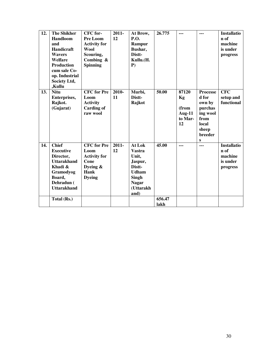| 12. | <b>The Shikher</b><br>Handloom<br>and<br>Handicraft<br><b>Wavers</b><br>Welfare<br><b>Production</b><br>cum sale Co-<br>op. Industrial<br>Society Ltd,<br>,Kullu | CFC for-<br>Pre Loom<br><b>Activity for</b><br><b>Wool</b><br>Scouring,<br>Combing $\&$<br><b>Spinning</b> | $2011 -$<br>12 | At Brow,<br><b>P.O.</b><br>Rampur<br>Bushar,<br>Distt-<br>Kullu.(H.<br>$P$ )                                               | 26.775          | ---                                                    | $- - -$                                                                                                    | <b>Installatio</b><br>n of<br>machine<br>is under<br>progress |
|-----|------------------------------------------------------------------------------------------------------------------------------------------------------------------|------------------------------------------------------------------------------------------------------------|----------------|----------------------------------------------------------------------------------------------------------------------------|-----------------|--------------------------------------------------------|------------------------------------------------------------------------------------------------------------|---------------------------------------------------------------|
| 13. | <b>Nitu</b><br>Enterprises,<br>Rajkot.<br>(Gujarat)                                                                                                              | <b>CFC</b> for Pre<br>Loom<br><b>Activity</b><br><b>Carding of</b><br>raw wool                             | 2010-<br>11    | Murbi,<br>Distt-<br>Rajkot                                                                                                 | 50.00           | 87120<br>Kg<br>(from<br><b>Aug-11</b><br>to Mar-<br>12 | <b>Processe</b><br>d for<br>own by<br>purchas<br>ing wool<br>from<br>local<br>sheep<br><b>breeder</b><br>S | <b>CFC</b><br>setup and<br>functional                         |
| 14. | <b>Chief</b><br><b>Executive</b><br>Director,<br><b>Uttarakhand</b><br>Khadi &<br>Gramodyog<br>Board,<br>Dehradun (<br><b>Uttarakhand</b><br>Total (Rs.)         | <b>CFC</b> for Pre<br>Loom<br><b>Activity for</b><br>Cone<br>Dyeing $\&$<br><b>Hank</b><br><b>Dyeing</b>   | $2011 -$<br>12 | At Lok<br><b>Vastra</b><br>Unit,<br>Jaspur,<br>Distt-<br><b>Udham</b><br><b>Singh</b><br><b>Nagar</b><br>(Uttarakh<br>and) | 45.00<br>656.47 | ---                                                    | $\overline{a}$                                                                                             | <b>Installatio</b><br>n of<br>machine<br>is under<br>progress |
|     |                                                                                                                                                                  |                                                                                                            |                |                                                                                                                            | lakh            |                                                        |                                                                                                            |                                                               |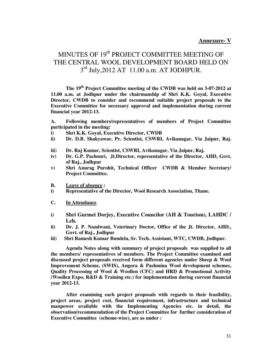#### **Annexure- V**

# MINUTES OF 19<sup>th</sup> PROJECT COMMITTEE MEETING OF THE CENTRAL WOOL DEVELOPMENT BOARD HELD ON 3<sup>rd</sup> July, 2012 AT 11.00 a.m. AT JODHPUR.

 **The 19th Project Committee meeting of the CWDB was held on 3-07-2012 at 11.00 a.m. at Jodhpur under the chairmanship of Shri K.K. Goyal, Executive Director, CWDB to consider and recommend suitable project proposals to the Executive Committee for necessary approval and implementation during current financial year 2012-13.** 

**A. Following members/representatives of members of Project Committee participated in the meeting:** 

- **i) Shri K.K. Goyal, Executive Director, CWDB**
- **ii) Dr. D.B. Shakyawar, Pr. Scientist, CSWRI, Avikanagar, Via Jaipur, Raj.**
- **iii) Dr. Raj Kumar, Scientist, CSWRI, Avikanagar, Via Jaipur, Raj.**
- **iv) Dr. G.P. Pachouri, Jt.Director, representative of the Director, AHD, Govt. of Raj., Jodhpur**
- **v) Shri Anurag Purohit, Technical Officer CWDB & Member Secretary/ Project Committee.**
- **B. Leave of absence :**
- **i) Representative of the Director, Wool Research Association, Thane.**
- **C. In Attendance**
- **i) Shri Gurmet Dorjey, Executive Councilor (AH & Tourism), LAHDC / Leh.**
- **ii) Dr. J. P. Nandwani, Veterinary Doctor, Office of the Jt. Director, AHD., Govt. of Raj., Jodhpur**
- **iii) Shri Ramesh Kumar Bundela, Sr. Tech. Assistant, WTC, CWDB, Jodhpur.**

 **Agenda Notes along with summary of project proposals was supplied to all the members/ representatives of members. The Project Committee examined and discussed project proposals received form different agencies under Sheep & Wool Improvement Scheme, (SWIS), Angora & Pashmina Wool development schemes, Quality Processing of Wool & Woollen (CFC) and HRD & Promotional Activity (Woollen Expo, R&D & Training etc.) for implementation during current financial year 2012-13.** 

 **After examining each project proposals with regards to their feasibility, project areas, project cost, financial requirement, infrastructure and technical manpower available with the Implementing Agencies etc. in detail, the observation/recommendation of the Project Committee for further consideration of Executive Committee (scheme-wise), are as under :**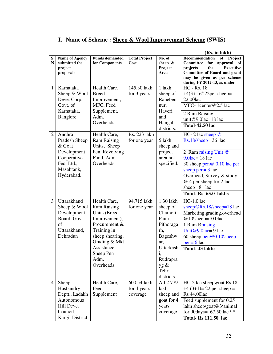# **I. Name of Scheme : Sheep & Wool Improvement Scheme (SWIS)**

**(Rs. in lakh)**

| ${\bf S}$<br>$\mathbf N$ | <b>Name of Agency</b><br>submitted the<br>project                                                         | <b>Funds demanded</b><br>for Components                                                                                                                                                   | <b>Total Project</b><br>Cost           | No. of<br>sheep $\&$<br>Project                                                                                                                 | Recommendation<br>of Project<br>Committee for<br>approval of<br>the<br><b>Executive</b><br>projects                                                                                                                                              |
|--------------------------|-----------------------------------------------------------------------------------------------------------|-------------------------------------------------------------------------------------------------------------------------------------------------------------------------------------------|----------------------------------------|-------------------------------------------------------------------------------------------------------------------------------------------------|--------------------------------------------------------------------------------------------------------------------------------------------------------------------------------------------------------------------------------------------------|
|                          | proposals                                                                                                 |                                                                                                                                                                                           |                                        | Area                                                                                                                                            | Committee of Board and grant<br>may be given as per scheme<br>during FY 2012-13, as under                                                                                                                                                        |
| 1                        | Karnataka<br>Sheep & Wool<br>Deve. Corp.,<br>Govt. of<br>Karnataka,<br>Banglore                           | Health Care,<br><b>Breed</b><br>Improvement,<br>MFC, Feed<br>Supplement,<br>Adm.<br>Overheads.                                                                                            | 145.30 lakh<br>for 3 years             | 1 lakh<br>sheep of<br>Raneben<br>nur,<br>Haveri<br>and<br>Hangal<br>districts.                                                                  | <b>HC</b> - Rs. 18<br>$+4(3+1)@22$ per sheep=<br>22.00lac<br>MFC-1center@2.5 lac<br>2 Ram Raising<br>unit@9.0lac=18 lac<br><b>Total-42.50 lac</b>                                                                                                |
| 2                        | Andhra<br>Pradesh Sheep<br>& Goat<br>Development<br>Cooperative<br>Fed. Ltd.,<br>Masabtank,<br>Hyderabad. | Health Care,<br><b>Ram Raising</b><br>Units, Sheep<br>Pen, Revolving<br>Fund, Adm.<br>Overheads.                                                                                          | Rs. 223 lakh<br>for one year           | 5 lakh<br>sheep and<br>project<br>area not<br>specified.                                                                                        | HC- 2 lac sheep $@$<br>$Rs.18/sheep=36$ lac<br>2 Ram raising Unit @<br>$9.0$ lac= 18 lac<br>30 sheep pen $@$ 0.10 lac per<br>sheep pen= $3$ lac<br>Overhead, Survey & study,<br>@ 4 per sheep for 2 lac<br>sheep= $8$ lac<br>Total-Rs 65.0 lakhs |
| 3                        | Uttarakhand<br>Sheep & Wool<br>Development<br>Board, Govt.<br>of<br>Uttarakhand,<br>Dehradun              | Health Care,<br><b>Ram Raising</b><br>Units (Breed<br>Improvement),<br>Procurement &<br>Training in<br>sheep shearing,<br>Grading & Mkt<br>Assistance,<br>Sheep Pen<br>Adm.<br>Overheads. | 94.715 lakh<br>for one year            | 1.30 lakh<br>sheep of<br>Chamoli,<br>Pauri,<br>Pithoraga<br>rh,<br>Bageshw<br>ar,<br>Uttarkash<br>i,<br>Rudrapra<br>yg &<br>Tehri<br>districts. | $HC-1.0$ lac<br>sheep $@Rs.18$ /sheep=18 lac<br>Marketing, grading, overhead<br>@10\sheep=10.0lac<br>1 Ram Rraising<br>Unit@9.0lac=9 lac<br>60 sheep $pen@0.10$ sheep<br>$pen = 6$ lac<br><b>Total-43 lakhs</b>                                  |
| $\overline{4}$           | Sheep<br>Husbandry<br>Deptt., Ladakh<br>Autonomous<br>Hill Deve.<br>Council,<br>Kargil District           | Health Care,<br>Feed<br>Supplement                                                                                                                                                        | 600.54 lakh<br>for 4 years<br>coverage | All 2.779<br>lakh<br>sheep and<br>goat for 4<br>years<br>coverage                                                                               | HC-2 lac sheep\goat Rs.18<br>$+4(3+1)=22$ per sheep =<br><b>Rs</b> 44.00lac<br>Feed supplement for 0.25<br>lakh sheep\goat@3\animal<br>for 90 days = $67.50$ lac **<br><b>Total-Rs 111.50 lac</b>                                                |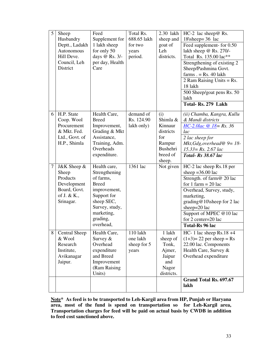| 5 <sup>1</sup> | Sheep<br>Husbandry | Feed<br>Supplement for      | Total Rs.<br>688.65 lakh | 2.30 lakh<br>sheep and | $HC-2$ lac sheep@ Rs.<br>18\sheep= $36$ lac |
|----------------|--------------------|-----------------------------|--------------------------|------------------------|---------------------------------------------|
|                | Deptt., Ladakh     | 1 lakh sheep                | for two                  | goat of                | Feed supplement- for 0.50                   |
|                | Autonomous         | for only 50                 | years                    | Leh                    | lakh sheep @ Rs. 270/-                      |
|                | Hill Deve.         | days @ Rs. 3/-              | period.                  | districts.             | Total Rs. 135.00 lac**                      |
|                | Council, Leh       | per day, Health             |                          |                        | Strengthening of existing 2                 |
|                | District           | Care                        |                          |                        | Sheep/Pashmina Govt.                        |
|                |                    |                             |                          |                        | $farms. = Rs. 40 lakh$                      |
|                |                    |                             |                          |                        | 2 Ram Raising Units = $Rs.$                 |
|                |                    |                             |                          |                        | 18 lakh                                     |
|                |                    |                             |                          |                        | 500 Sheep/goat pens Rs. 50                  |
|                |                    |                             |                          |                        | lakh                                        |
|                |                    |                             |                          |                        | Total-Rs. 279 Lakh                          |
| 6              | H.P. State         | Health Care,                | demand of                | (i)                    | (ii) Chamba, Kangra, Kullu                  |
|                | Coop. Wool         | <b>Breed</b>                | Rs. 124.90               | Shimla &               | & Mandi districts                           |
|                | Procurement        | Improvement,                | lakh only)               | Kinnaur                | $HC-2.0lac \& 18 = Rs. 36$                  |
|                | & Mkt. Fed.        | Grading & Mkt               |                          | districts              | lac                                         |
|                | Ltd., Govt. of     | Assistance,                 |                          | for                    | 2 lac sheep for                             |
|                | H.P., Shimla       | Training, Adm.<br>Overheads |                          | Rampur<br>Bushehri     | Mkt, Gdg, overhead $\Phi = 18$ -            |
|                |                    | expenditure.                |                          | breed of               | $15.33 = Rs. 2.67$ lac                      |
|                |                    |                             |                          | sheep.                 | <b>Total-Rs</b> 38.67 lac                   |
| 7              | J&K Sheep &        | Health care,                | 1361 lac                 | Not given              | HC-2 lac sheep Rs.18 per                    |
|                | Sheep              | Strengthening               |                          |                        | sheep = $36.00$ lac                         |
|                | Products           | of farms.                   |                          |                        | Strength. of farm@ 20 lac                   |
|                | Development        | <b>Breed</b>                |                          |                        | for 1 farm $= 20$ lac                       |
|                | Board, Govt.       | improvement,                |                          |                        | Overhead, Survey, study,                    |
|                | of J. & K.,        | Support for                 |                          |                        | marketing,                                  |
|                | Srinagar.          | sheep SEC,                  |                          |                        | grading@10\sheep for 2 lac                  |
|                |                    | Survey, study,              |                          |                        | sheep=20 lac                                |
|                |                    | marketing,                  |                          |                        | Support of MPEC @10 lac                     |
|                |                    | grading,<br>overhead,       |                          |                        | for 2 center=20 lac                         |
|                |                    |                             |                          |                        | Total-Rs 96 lac                             |
| 8              | Central Sheep      | Health Care,                | 110 lakh                 | 1 lakh                 | HC- 1 lac sheep Rs.18 $+4$                  |
|                | & Wool             | Survey &                    | one lakh                 | sheep of               | $(1+3)=22$ per sheep = Rs                   |
|                | Research           | Overhead                    | sheep for 5              | Tonk,                  | 22.00 lac. Components                       |
|                | Institute,         | expenditure                 | years                    | Ajmer,                 | Health Care, Survey &                       |
|                | Avikanagar         | and Breed                   |                          | Jaipur                 | Overhead expenditure                        |
|                | Jaipur.            | Improvement                 |                          | and                    |                                             |
|                |                    | (Ram Raising<br>Units)      |                          | Nagor<br>districts.    |                                             |
|                |                    |                             |                          |                        | Grand Total Rs. 697.67                      |
|                |                    |                             |                          |                        | lakh                                        |
|                |                    |                             |                          |                        |                                             |

**Note\* As feed is to be transported to Leh-Kargil area from HP, Punjab or Haryana area, most of the fund is spend on transportation so for Leh-Kargil area, Transportation charges for feed will be paid on actual basis by CWDB in addition to feed cost sanctioned above.**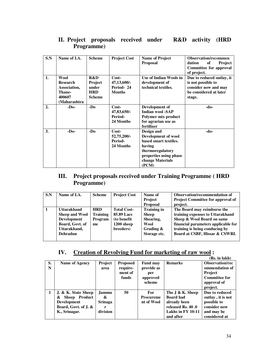| S.N | Name of I.A.    | <b>Scheme</b> | <b>Project Cost</b> | <b>Name of Project</b>  | <b>Observation/recommen</b>    |
|-----|-----------------|---------------|---------------------|-------------------------|--------------------------------|
|     |                 |               |                     | <b>Proposal</b>         | dation<br>of<br><b>Project</b> |
|     |                 |               |                     |                         | <b>Committee for approval</b>  |
|     |                 |               |                     |                         | of project.                    |
| 1.  | Wool            | R&D           | Cost-               | Use of Indian Wools in  | Due to reduced outlay, it      |
|     | <b>Research</b> | Project       | 47,13,600/-         | development of          | is not possible to             |
|     | Association,    | under         | Period-24           | technical textiles.     | consider now and may           |
|     | Thane-          | <b>HRD</b>    | <b>Months</b>       |                         | be considered at later         |
|     | 400607          | <b>Scheme</b> |                     |                         | stage.                         |
|     | (Maharashtra)   |               |                     |                         |                                |
| 2.  | $-D0$           | $-D0$         | $Cost-$             | Development of          | -do-                           |
|     |                 |               | 47,83,650/-         | <b>Indian wool -SAP</b> |                                |
|     |                 |               | Period-             | Polymer mix product     |                                |
|     |                 |               | 24 Months           | for agrarian use as     |                                |
|     |                 |               |                     | fertilizer              |                                |
| 3.  | $-D0$           | -Do           | Cost-               | Design and              | -do-                           |
|     |                 |               | 52,75,200/-         | Development of wool     |                                |
|     |                 |               | Period-             | based smart textiles.   |                                |
|     |                 |               | 24 Months           | having                  |                                |
|     |                 |               |                     | thermoregulatory        |                                |
|     |                 |               |                     | properties using phase  |                                |
|     |                 |               |                     | change Materials        |                                |
|     |                 |               |                     | (PCM)                   |                                |

## **II. Project proposals received under R&D activity (HRD Programme)**

### **III. Project proposals received under Training Programme ( HRD Programme)**

| S.N       | Name of I.A.                                                                                                     | <b>Scheme</b>                           | <b>Project Cost</b>                                                         | Name of<br><b>Project</b>                                                            | <b>Observation/recommendation of</b><br>Project Committee for approval of                                                                                                                                |
|-----------|------------------------------------------------------------------------------------------------------------------|-----------------------------------------|-----------------------------------------------------------------------------|--------------------------------------------------------------------------------------|----------------------------------------------------------------------------------------------------------------------------------------------------------------------------------------------------------|
|           |                                                                                                                  |                                         |                                                                             | <b>Proposal</b>                                                                      | project.                                                                                                                                                                                                 |
| $\vert$ 1 | <b>Uttarakhand</b><br><b>Sheep and Wool</b><br>Development<br>Board, Govt. of<br>Uttarakhand,<br><b>Dehradun</b> | <b>HRD</b><br>Training<br>Program<br>me | <b>Total Cost-</b><br>85.89 Lacs<br>(to benefit)<br>1200 sheep<br>breeders) | <b>Training in</b><br><b>Sheep</b><br>Shearing,<br>Wool<br>Grading &<br>Storage etc. | The Board may reimburse the<br>training expenses to Uttarakhand<br>Sheep & Wool Board on same<br>financial parameters applicable for<br>training is being conducing by<br>Board at CSBF, Hissar & CSWRI. |

#### **IV. Creation of Revolving Fund for marketing of raw wool :**

|         |                                                                                                           |                                                      |                                                 |                                                            |                                                                                                                 | (Rs. in lakh)                                                                                                 |
|---------|-----------------------------------------------------------------------------------------------------------|------------------------------------------------------|-------------------------------------------------|------------------------------------------------------------|-----------------------------------------------------------------------------------------------------------------|---------------------------------------------------------------------------------------------------------------|
| S.<br>N | Name of Agency                                                                                            | <b>Project</b><br>area                               | <b>Proposed</b><br>require-<br>ment of<br>funds | <b>Fund may</b><br>provide as<br>per<br>approved<br>scheme | <b>Remarks</b>                                                                                                  | <b>Observation/rec</b><br>ommendation of<br><b>Project</b><br><b>Committee for</b><br>approval of<br>project. |
|         | J. & K. State Sheep<br>Sheep Product<br>&.<br><b>Development</b><br>Board, Govt. of J. &<br>K., Srinagar. | <b>Jammu</b><br>&<br><b>Srinaga</b><br>r<br>division | 50                                              | <b>For</b><br><b>Procureme</b><br>nt of Wool               | The $J \& K.$ Sheep<br><b>Board had</b><br>already been<br>released Rs. 40 .0<br>Lakhs in FY 10-11<br>and after | Due to reduced<br>outlay, it is not<br>possible to<br>consider now<br>and may be<br>considered at             |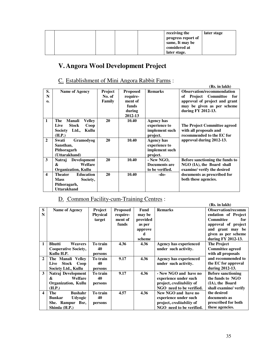|  |  | receiving the      | later stage |
|--|--|--------------------|-------------|
|  |  | progress report of |             |
|  |  | same, It may be    |             |
|  |  | considered at      |             |
|  |  | later stage.       |             |

# **V. Angora Wool Development Project**

#### C. Establishment of Mini Angora Rabbit Farms : Name of Agency | Project **Proposed**

| S.                      | <b>Name of Agency</b>              | Project | <b>Proposed</b> | <b>Remarks</b>  | <b>Observation/recommendation</b>     |
|-------------------------|------------------------------------|---------|-----------------|-----------------|---------------------------------------|
| N                       |                                    | No. of  | require-        |                 | <b>Project</b> Committee<br>оf<br>for |
| $\mathbf{0}$            |                                    | Family  | ment of         |                 | approval of project and grant         |
|                         |                                    |         | funds           |                 | may be given as per scheme            |
|                         |                                    |         | during          |                 | during FY 2012-13.                    |
|                         |                                    |         | 2012-13         |                 |                                       |
| $\mathbf{1}$            | The<br><b>Manali</b><br>Vellev     | 20      | 10.40           | Agency has      |                                       |
|                         | <b>Stock</b><br>Live<br>Coop       |         |                 | experience to   | The Project Committee agreed          |
|                         | Ltd.,<br>Kullu<br>Society          |         |                 | implement such  | with all proposals and                |
|                         | (H.P.)                             |         |                 | project.        | recommended to the EC for             |
| $\overline{2}$          | Gramodyog<br>Swati                 | 20      | 10.40           | Agency has      | approval during 2012-13.              |
|                         | Sansthan,                          |         |                 | experience to   |                                       |
|                         | Pithoragarh                        |         |                 | implement such  |                                       |
|                         | (Uttarakhand)                      |         |                 | project.        |                                       |
| 3                       | <b>Development</b><br>Natraj       | 20      | 10.40           | - New NGO,      | Before sanctioning the funds to       |
|                         | &<br>Welfare                       |         |                 | Documents are   | NGO (IA), the Board shall             |
|                         | <b>Organization, Kullu</b>         |         |                 | to be verified. | examine/ verify the desired           |
| $\overline{\mathbf{4}}$ | <b>Education</b><br><b>Theater</b> | 20      | 10.40           | -do-            | documents as prescribed for           |
|                         | <b>Mass</b><br>Society,            |         |                 |                 | both these agencies.                  |
|                         | Pithoragarh,                       |         |                 |                 |                                       |
|                         | <b>Uttarakhand</b>                 |         |                 |                 |                                       |

# D. Common Facility-cum-Training Centres :

|              |                                 |                 |                 |          |                                  | (Rs. in lakh)             |
|--------------|---------------------------------|-----------------|-----------------|----------|----------------------------------|---------------------------|
| S            | <b>Name of Agency</b>           | Project         | <b>Proposed</b> | Fund     | <b>Remarks</b>                   | <b>Observation/recomm</b> |
| N            |                                 | <b>Physical</b> | require-        | may be   |                                  | endation of Project       |
|              |                                 | target          | ment of         | provided |                                  | <b>Committee</b><br>for   |
|              |                                 |                 | funds           | as per   |                                  | approval of project       |
|              |                                 |                 |                 | approve  |                                  | and grant may be          |
|              |                                 |                 |                 | d        |                                  | given as per scheme       |
|              |                                 |                 |                 | scheme   |                                  | during FY 2012-13.        |
| 1            | <b>Bhutti</b><br>Weavers        | To train        | 4.36            | 4.36     | <b>Agency has experienced</b>    | <b>The Project</b>        |
|              | Cooperative Society,            | 40              |                 |          | under such activity.             | <b>Committee agreed</b>   |
|              | Kullu H.P.                      | persons         |                 |          |                                  | with all proposals        |
| $\mathbf{2}$ | The Manali Velley               | To train        | 9.17            | 4.36     | <b>Agency has experienced</b>    | and recommended to        |
|              | <b>Stock</b><br>Coop<br>Live    | 40              |                 |          | under such activity.             | the EC for approval       |
|              | Society Ltd., Kullu             | persons         |                 |          |                                  | during 2012-13.           |
| 3            | Natraj Development              | To train        | 9.17            | 4.36     | - New NGO and have no            | <b>Before sanctioning</b> |
|              | Welfare<br>&                    | 40              |                 |          | experience under such            | the funds to NGO          |
|              | <b>Organization, Kullu</b>      | persons         |                 |          | project, <i>creditability</i> of | (IA), the Board           |
|              | (H.P.)                          |                 |                 |          | NGO need to be verified.         | shall examine/ verify     |
| 4            | <b>Bushahr</b><br><b>The</b>    | To train        | 4.57            | 4.36     | New NGO and have no              | the desired               |
|              | <b>Bunkar</b><br><b>Udyogic</b> | 40              |                 |          | experience under such            | documents as              |
|              | She. Rampur Bsr,                | persons         |                 |          | project, <i>creditability</i> of | prescribed for both       |
|              | Shimla (H.P.)                   |                 |                 |          | NGO need to be verified.         | these agencies.           |

**(Rs. in lakh)**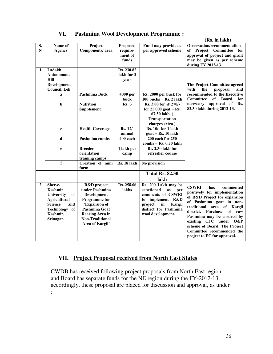|                 |                                                                                                                                            |                                                                                                                                                                                   |                                                 |                                                                                                                                                                     | (Rs. in lakh)                                                                                                                                                                                                                                                                                                                                         |
|-----------------|--------------------------------------------------------------------------------------------------------------------------------------------|-----------------------------------------------------------------------------------------------------------------------------------------------------------------------------------|-------------------------------------------------|---------------------------------------------------------------------------------------------------------------------------------------------------------------------|-------------------------------------------------------------------------------------------------------------------------------------------------------------------------------------------------------------------------------------------------------------------------------------------------------------------------------------------------------|
| S.<br>${\bf N}$ | Name of<br><b>Agency</b>                                                                                                                   | Project<br>Components/area                                                                                                                                                        | <b>Proposed</b><br>require-<br>ment of<br>funds | Fund may provide as<br>per approved scheme                                                                                                                          | <b>Observation/recommendation</b><br>of Project Committee for<br>approval of project and grant<br>may be given as per scheme<br>during FY 2012-13.                                                                                                                                                                                                    |
| $\mathbf{1}$    | Ladakh<br><b>Autonomous</b><br><b>Hill</b><br>Development<br>Council, Leh                                                                  |                                                                                                                                                                                   | Rs. 230.82<br>lakh for 3<br>year                |                                                                                                                                                                     | The Project Committee agreed<br>proposal<br>the<br>and<br>with                                                                                                                                                                                                                                                                                        |
|                 | a                                                                                                                                          | <b>Pashmina Buck</b>                                                                                                                                                              | 4000 per<br>buck                                | Rs. 2000 per buck for<br>$100$ bucks = Rs. 2 lakh                                                                                                                   | recommended to the Executive<br><b>Committee</b><br>of<br><b>Board</b><br>for                                                                                                                                                                                                                                                                         |
|                 | $\mathbf b$                                                                                                                                | <b>Nutrition</b><br><b>Supplement</b>                                                                                                                                             | Rs.3                                            | Rs. 3.00 for @ 270/-<br>for $25,000$ goat = Rs.<br>67.50 lakh (<br><b>Transportation</b><br>charges extra)                                                          | approval<br>of<br>Rs.<br>necessary<br>82.30 lakh during 2012-13.                                                                                                                                                                                                                                                                                      |
|                 | $\mathbf c$                                                                                                                                | <b>Health Coverage</b>                                                                                                                                                            | Rs. 12/-<br>animal                              | $\overline{\text{Rs. }10/1}$ for 1 lakh<br>$\text{goat} = \text{Rs.} 10 \text{ lakh}$                                                                               |                                                                                                                                                                                                                                                                                                                                                       |
|                 | $\mathbf d$                                                                                                                                | Pashmina combs                                                                                                                                                                    | $400$ each                                      | 200 each for 250<br>$combs = Rs. 0.50$ lakh                                                                                                                         |                                                                                                                                                                                                                                                                                                                                                       |
|                 | e                                                                                                                                          | <b>Breeder</b><br>orientation<br>training camps                                                                                                                                   | 1 lakh per<br>camp                              | Rs. 2.30 lakh for<br>refresher course                                                                                                                               |                                                                                                                                                                                                                                                                                                                                                       |
|                 | f                                                                                                                                          | Creation of mini<br>farm                                                                                                                                                          | Rs. 18 lakh                                     | No provision                                                                                                                                                        |                                                                                                                                                                                                                                                                                                                                                       |
|                 |                                                                                                                                            |                                                                                                                                                                                   |                                                 | <b>Total Rs. 82.30</b><br>lakh                                                                                                                                      |                                                                                                                                                                                                                                                                                                                                                       |
| $\overline{2}$  | Sher-e-<br>Kashmir<br>University<br>of<br><b>Agricultural</b><br><b>Science</b><br>and<br><b>Technology</b><br>of<br>Kashmir,<br>Srinagar. | <b>R&amp;D</b> project<br>under Pashmina<br>Development<br>Programme for<br>'Expansion of<br><b>Pashmina Goat</b><br>Rearing Area in<br><b>Non-Traditional</b><br>Area of Kargil' | Rs. 258.06<br>lakhs                             | Rs. 200 Lakh may be<br>sanctioned<br>as<br>per<br>comments of CSWRI<br>implement R&D<br>to<br>project<br>in<br>Kargil<br>district for Pashmina<br>wool development. | <b>CSWRI</b><br>has<br>commented<br>positively for implementation<br>of R&D Project for expansion<br>of Pashmina goat in non-<br>traditional area of Kargil<br>Purchase<br>of<br>district.<br>raw<br>Pashmina may be ensured by<br>existing CFC under Q&P<br>scheme of Board. The Project<br>Committee recommended the<br>project to EC for approval. |

### **VI. Pashmina Wool Development Programme :**

#### **VII. Project Proposal received from North East States**

CWDB has received following project proposals from North East region and Board has separate funds for the NE region during the FY-2012-13, accordingly, these proposal are placed for discussion and approval, as under :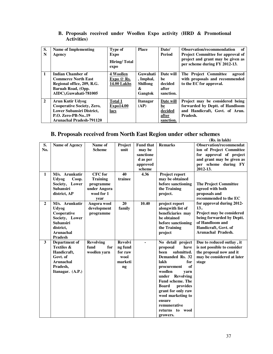| S.<br>N        | Name of Implementing<br>Agency                                                                                                                    | <b>Type of</b><br>Expo<br>Hiring/Total<br>expo        | <b>Place</b>                                             | Date/<br>Period                                         | Observation/recommendation<br>of<br><b>Project Committee for approval of</b><br>project and grant may be given as<br>per scheme during FY 2012-13. |
|----------------|---------------------------------------------------------------------------------------------------------------------------------------------------|-------------------------------------------------------|----------------------------------------------------------|---------------------------------------------------------|----------------------------------------------------------------------------------------------------------------------------------------------------|
| 1              | Indian Chamber of<br><b>Commerce North East</b><br>Regional office, 209, R.G.<br>Baruah Road, (Opp.<br>AIDC), Guwahati-781005                     | 4 Woollen<br>Expo $\oslash$ Rs.<br><b>14.00 Lakhs</b> | Guwahati<br>, Imphal,<br><b>Shillong</b><br>&<br>Gangtok | Date will<br>be<br>decided<br>after<br>sanction.        | The Project Committee<br>agreed<br>with proposals and recommended<br>to the EC for approval.                                                       |
| $\overline{2}$ | Arun Kutir Udvog<br><b>Cooperative Society, Zero,</b><br><b>Lower Subansiri District.</b><br><b>P.O. Zero-PB-No19</b><br>Arunachal Pradesh-791120 | <b>Total 1</b><br><b>Expo14.00</b><br>lacs            | <b>Itanagar</b><br>(AP)                                  | Date will<br><u>be</u><br>decided<br>after<br>sanction. | Project may be considered being<br>forwarded by Deptt. of Handloom<br>and Handicraft, Govt. of Arun.<br>Pradesh.                                   |

#### **B. Proposals received under Woollen Expo activity (HRD & Promotional Activities)**

#### **B. Proposals received from North East Region under other schemes**

|                |                       |                  |                 |                  |                          | (Rs. in lakh)                  |
|----------------|-----------------------|------------------|-----------------|------------------|--------------------------|--------------------------------|
| S.             | Name of Agency        | Name of          | Project         | <b>Fund that</b> | <b>Remarks</b>           | <b>Observation/recommendat</b> |
| No.            |                       | <b>Scheme</b>    | unit            | may be           |                          | ion of Project Committee       |
|                |                       |                  |                 | sanctione        |                          | for approval of project        |
|                |                       |                  |                 | d as per         |                          | and grant may be given as      |
|                |                       |                  |                 | approved         |                          | per scheme during FY           |
|                |                       |                  |                 | scheme           |                          | 2012-13.                       |
| $\mathbf{1}$   | M/s. Arunkutir        | <b>CFC</b> for   | 40              | 4.36             | Project report           |                                |
|                | <b>Udyog</b><br>Coop. | <b>Training</b>  | trainee         |                  | may be obtained          |                                |
|                | Society, Lower        | programme        |                 |                  | before sanctioning       | <b>The Project Committee</b>   |
|                | <b>Subansiri</b>      | under Angora     |                 |                  | the Training             | agreed with both               |
|                | district, AP          | wool for 1       |                 |                  | project.                 | proposals and                  |
|                |                       | vear             |                 |                  |                          | recommended to the EC          |
| $\overline{2}$ | M/s. Arunkutir        | Angora wool      | $\overline{20}$ | 10.40            | project report           | for approval during 2012-      |
|                | <b>Udyog</b>          | development      | family          |                  | alongwith list of        | 13.                            |
|                | Cooperative           | programme        |                 |                  | beneficiaries may        | Project may be considered      |
|                | Society, Lower        |                  |                 |                  | be obtained              | being forwarded by Deptt.      |
|                | <b>Subansiri</b>      |                  |                 |                  | before sanctioning       | of Handloom and                |
|                | district,             |                  |                 |                  | the Training             | Handicraft, Govt. of           |
|                | Arunachal             |                  |                 |                  | project                  | <b>Arunachal Pradesh.</b>      |
|                | <b>Pradesh</b>        |                  |                 |                  |                          |                                |
| 3              | Department of         | <b>Revolving</b> | <b>Revolvi</b>  | $\blacksquare$   | No detail project        | Due to reduced outlay, it      |
|                | <b>Textiles &amp;</b> | fund<br>for      | ng fund         |                  | have<br>proposal         | is not possible to consider    |
|                | Handicraft,           | woollen yarn     | for raw         |                  | submitted.<br>been       | the proposal now and it        |
|                | Govt. of              |                  | wool            |                  | Demanded Rs. 32          | may be considered at later     |
|                | <b>Arunachal</b>      |                  | marketi         |                  | lakh<br>for              | stage                          |
|                | Pradesh,              |                  | ng              |                  | of<br>procurement        |                                |
|                | Itanagar. (A.P.)      |                  |                 |                  | woollen<br>yarn          |                                |
|                |                       |                  |                 |                  | under<br>Revolving       |                                |
|                |                       |                  |                 |                  | <b>Fund scheme. The</b>  |                                |
|                |                       |                  |                 |                  | <b>Board</b><br>provides |                                |
|                |                       |                  |                 |                  | grant for only raw       |                                |
|                |                       |                  |                 |                  | wool marketing to        |                                |
|                |                       |                  |                 |                  | ensure                   |                                |
|                |                       |                  |                 |                  | remunerative             |                                |
|                |                       |                  |                 |                  | returns to wool          |                                |
|                |                       |                  |                 |                  | growers.                 |                                |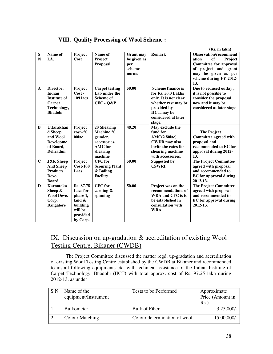|  |  |  | <b>VIII. Quality Processing of Wool Scheme:</b> |
|--|--|--|-------------------------------------------------|
|--|--|--|-------------------------------------------------|

|                          |                                                                                              |                                                                                                      |                                                                                                |                                                           |                                                                                                                                                                      | (Rs. in lakh)                                                                                                                                                           |
|--------------------------|----------------------------------------------------------------------------------------------|------------------------------------------------------------------------------------------------------|------------------------------------------------------------------------------------------------|-----------------------------------------------------------|----------------------------------------------------------------------------------------------------------------------------------------------------------------------|-------------------------------------------------------------------------------------------------------------------------------------------------------------------------|
| ${\bf S}$<br>$\mathbf N$ | Name of<br>I.A.                                                                              | Project<br>Cost                                                                                      | Name of<br>Project<br>Proposal                                                                 | <b>Grant may</b><br>be given as<br>per<br>scheme<br>norms | <b>Remark</b>                                                                                                                                                        | <b>Observation/recommend</b><br>ation<br>of<br>Project<br><b>Committee for approval</b><br>of project and grant<br>may be given as per<br>scheme during FY 2012-<br>13. |
| $\mathbf{A}$             | Director,<br><b>Indian</b><br><b>Institute of</b><br>Carpet<br>Technology,<br><b>Bhadohi</b> | Project<br>$Cost -$<br><b>109 lacs</b>                                                               | <b>Carpet testing</b><br>Lab under the<br><b>Scheme of</b><br>CFC - Q&P                        | 50.00                                                     | <b>Scheme finance is</b><br>for Rs. 50.0 Lakhs<br>only. It is not clear<br>whether rest may be<br>provided by<br><b>IICT.may</b> be<br>considered at later<br>stage. | Due to reduced outlay,<br>it is not possible to<br>consider the proposal<br>now and it may be<br>considered at later stage                                              |
| B                        | <b>Uttarakhan</b><br>d Sheep<br>and Wool<br><b>Developme</b><br>nt Board,<br><b>Dehradun</b> | Project<br>$cost = 50$ .<br>00lac                                                                    | 20 Shearing<br>Machine,20<br>grinder,<br>accessories,<br><b>AMC</b> for<br>shearing<br>machine | 48.20                                                     | May exclude the<br>fund for<br>AMC(2.80lac)<br><b>CWDB</b> may also<br>invite the rates for<br>shearing machine<br>with accessories.                                 | <b>The Project</b><br>Committee agreed with<br>proposal and<br>recommended to EC for<br>approval during 2012-<br>13.                                                    |
| $\mathbf C$              | <b>J&amp;K</b> Sheep<br><b>And Sheep</b><br><b>Products</b><br>Deve.<br><b>Board</b>         | Project<br>$Cost-100$<br>Lacs                                                                        | <b>CFC</b> for<br><b>Scouring Plant</b><br>& Bailing<br><b>Facility</b>                        | 50.00                                                     | <b>Suggested by</b><br><b>CSWRI.</b>                                                                                                                                 | <b>The Project Committee</b><br>agreed with proposal<br>and recommended to<br><b>EC</b> for approval during<br>2012-13.                                                 |
| D                        | Karnataka<br>Sheep &<br><b>Wool Deve.</b><br>Corp.<br><b>Bangalore</b>                       | Rs. 87.78<br><b>Lacs</b> for<br>phase 1,<br>land $\&$<br>building<br>will be<br>provided<br>by Corp. | $CFC$ for<br>carding $\&$<br>spinning                                                          | 50.00                                                     | Project was on the<br>recommendations of<br>WRA and CFC is to<br>be established in<br>consultation with<br>WRA.                                                      | <b>The Project Committee</b><br>agreed with proposal<br>and recommended to<br><b>EC</b> for approval during<br>2012-13.                                                 |

# IX. Discussion on up-gradation & accreditation of existing Wool Testing Centre, Bikaner (CWDB)

The Project Committee discussed the matter regd. up-gradation and accreditation of existing Wool Testing Centre established by the CWDB at Bikaner and recommended to install following equipments etc. with technical assistance of the Indian Institute of Carpet Technology, Bhadohi (IICT) with total approx. cost of Rs. 97.25 lakh during 2012-13, as under

| S.N | Name of the<br>equipment/Instrument | Tests to be Performed        | Approximate<br>Price (Amount in<br>Rs. |
|-----|-------------------------------------|------------------------------|----------------------------------------|
|     | <b>Bulkometer</b>                   | Bulk of Fiber                | $3,25,000/-$                           |
|     | Colour Matching                     | Colour determination of wool | 15,00,000/-                            |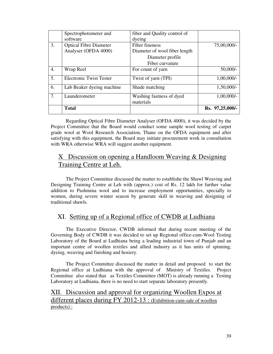|                  | Spectrophotometer and          | fiber and Quality control of  |                 |
|------------------|--------------------------------|-------------------------------|-----------------|
|                  | software                       | dyeing                        |                 |
| 3.               | <b>Optical Fibre Diameter</b>  | Fiber fineness                | 75,00,000/-     |
|                  | Analyser (OFDA 4000)           | Diameter of wool fiber length |                 |
|                  |                                | Diameter profile              |                 |
|                  |                                | Fiber curvature               |                 |
| $\overline{4}$ . | Wrap Reel                      | For count of yarn             | $50,000/-$      |
| 5.               | <b>Electronic Twist Tester</b> | Twist of yarn (TPI)           | $1,00,000/-$    |
| 6.               | Lab Beaker dyeing machine      | Shade matching                | 1,50,000/-      |
| 7.               | Launderometer                  | Washing fastness of dyed      | $1,00,000/-$    |
|                  |                                | materials                     |                 |
|                  | <b>Total</b>                   |                               | Rs. 97,25,000/- |

 Regarding Optical Fibre Diameter Analyser (OFDA 4000), it was decided by the Project Committee that the Board would conduct some sample wool testing of carpet grade wool at Wool Research Association, Thane on the OFDA equipment and after satisfying with this equipment, the Board may initiate procurement work in consultation with WRA otherwise WRA will suggest another equipment.

## X Discussion on opening a Handloom Weaving & Designing Training Centre at Leh.

The Project Committee discussed the matter to establishe the Shawl Weaving and Designing Training Centre at Leh with (approx.) cost of Rs. 12 lakh for further value addition to Pashmina wool and to increase employment opportunities, specially to women, during severe winter season by generate skill in weaving and designing of traditional shawls.

## XI. Setting up of a Regional office of CWDB at Ludhiana

The Executive Director, CWDB informed that during recent meeting of the Governing Body of CWDB it was decided to set up Regional office-cum-Wool Testing Laboratory of the Board at Ludhiana being a leading industrial town of Punjab and an important centre of woollen textiles and allied industry as it has units of spinning, dyeing, weaving and finishing and hosiery.

The Project Committee discussed the matter in detail and proposed to start the Regional office at Ludhiana with the approval of Ministry of Textiles. Project Committee also stated that as Textiles Committee (MOT) is already running a Testing Laboratory at Ludhiana, there is no need to start separate laboratory presently.

XII. Discussion and approval for organizing Woollen Expos at different places during FY 2012-13 : (Exhibition-cum-sale of woollen products) :